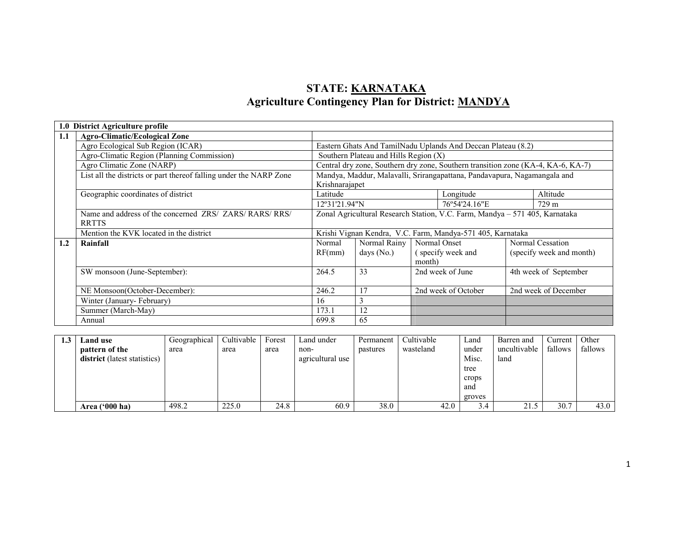## STATE: KARNATAKA**Agriculture Contingency Plan for District: MANDYA**

|     | 1.0 District Agriculture profile                                        |                                                                                            |                                       |        |                                                                                  |                          |                       |  |
|-----|-------------------------------------------------------------------------|--------------------------------------------------------------------------------------------|---------------------------------------|--------|----------------------------------------------------------------------------------|--------------------------|-----------------------|--|
| 1.1 | <b>Agro-Climatic/Ecological Zone</b>                                    |                                                                                            |                                       |        |                                                                                  |                          |                       |  |
|     | Agro Ecological Sub Region (ICAR)                                       |                                                                                            |                                       |        | Eastern Ghats And TamilNadu Uplands And Deccan Plateau (8.2)                     |                          |                       |  |
|     | Agro-Climatic Region (Planning Commission)                              |                                                                                            | Southern Plateau and Hills Region (X) |        |                                                                                  |                          |                       |  |
|     | Agro Climatic Zone (NARP)                                               |                                                                                            |                                       |        | Central dry zone, Southern dry zone, Southern transition zone (KA-4, KA-6, KA-7) |                          |                       |  |
|     | List all the districts or part thereof falling under the NARP Zone      | Mandya, Maddur, Malavalli, Srirangapattana, Pandavapura, Nagamangala and<br>Krishnarajapet |                                       |        |                                                                                  |                          |                       |  |
|     | Geographic coordinates of district                                      | Latitude                                                                                   |                                       |        | Longitude                                                                        |                          | Altitude              |  |
|     |                                                                         | $12^{\circ}31'21.94''N$                                                                    |                                       |        | 76°54'24.16"E                                                                    |                          | 729 m                 |  |
|     | Name and address of the concerned ZRS/ ZARS/ RARS/ RRS/<br><b>RRTTS</b> | Zonal Agricultural Research Station, V.C. Farm, Mandya - 571 405, Karnataka                |                                       |        |                                                                                  |                          |                       |  |
|     | Mention the KVK located in the district                                 |                                                                                            |                                       |        | Krishi Vignan Kendra, V.C. Farm, Mandya-571 405, Karnataka                       |                          |                       |  |
| 1.2 | Rainfall                                                                | Normal                                                                                     | Normal Rainy                          |        | Normal Onset                                                                     |                          | Normal Cessation      |  |
|     |                                                                         | RF(mm)                                                                                     | days $(No.)$                          |        | (specify week and                                                                | (specify week and month) |                       |  |
|     |                                                                         |                                                                                            |                                       | month) |                                                                                  |                          |                       |  |
|     | SW monsoon (June-September):                                            | 264.5                                                                                      | 33                                    |        | 2nd week of June                                                                 |                          | 4th week of September |  |
|     |                                                                         |                                                                                            |                                       |        |                                                                                  |                          |                       |  |
|     | NE Monsoon(October-December):                                           | 246.2                                                                                      | 17                                    |        | 2nd week of October                                                              |                          | 2nd week of December  |  |
|     | Winter (January-February)                                               | 16                                                                                         | 3                                     |        |                                                                                  |                          |                       |  |
|     | Summer (March-May)                                                      | 173.1                                                                                      | 12                                    |        |                                                                                  |                          |                       |  |
|     | Annual                                                                  | 699.8                                                                                      | 65                                    |        |                                                                                  |                          |                       |  |

| Land use                     | Geographical | Cultivable | Forest | Land under       | Permanent | Cultivable | Land   | Barren and   | Current | Other   |
|------------------------------|--------------|------------|--------|------------------|-----------|------------|--------|--------------|---------|---------|
| pattern of the               | area         | area       | area   | non-             | pastures  | wasteland  | under  | uncultivable | fallows | fallows |
| district (latest statistics) |              |            |        | agricultural use |           |            | Misc.  | land         |         |         |
|                              |              |            |        |                  |           |            | tree   |              |         |         |
|                              |              |            |        |                  |           |            | crops  |              |         |         |
|                              |              |            |        |                  |           |            | and    |              |         |         |
|                              |              |            |        |                  |           |            | groves |              |         |         |
| Area $(900)$ ha)             | 498.2        | 225.0      | 24.8   | 60.9             | 38.0      | 42.0       | 3.4    | 21.5         | 30.7    | 43.0    |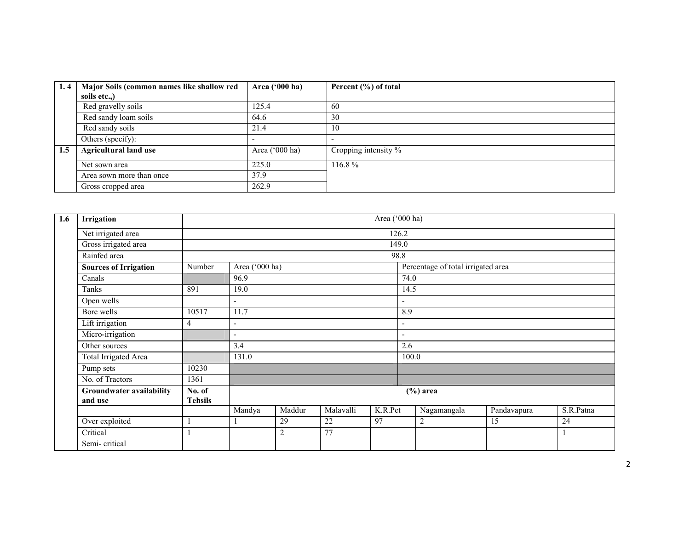| 1.4 | Major Soils (common names like shallow red | Area ('000 ha)          | Percent (%) of total |
|-----|--------------------------------------------|-------------------------|----------------------|
|     | soils etc)                                 |                         |                      |
|     | Red gravelly soils                         | 125.4                   | 60                   |
|     | Red sandy loam soils                       | 64.6                    | 30                   |
|     | Red sandy soils                            | 21.4                    | 10                   |
|     | Others (specify):                          |                         |                      |
| 1.5 | <b>Agricultural land use</b>               | Area $(^{\circ}000$ ha) | Cropping intensity % |
|     | Net sown area                              | 225.0                   | $116.8\%$            |
|     | Area sown more than once                   | 37.9                    |                      |
|     | Gross cropped area                         | 262.9                   |                      |

| 1.6 | Irrigation                                 |                          |                                                                                    |  |  | Area ('000 ha) |                          |                                    |             |           |  |
|-----|--------------------------------------------|--------------------------|------------------------------------------------------------------------------------|--|--|----------------|--------------------------|------------------------------------|-------------|-----------|--|
|     | Net irrigated area                         |                          |                                                                                    |  |  |                | 126.2                    |                                    |             |           |  |
|     | Gross irrigated area                       |                          |                                                                                    |  |  |                | 149.0                    |                                    |             |           |  |
|     | Rainfed area                               |                          |                                                                                    |  |  |                | 98.8                     |                                    |             |           |  |
|     | <b>Sources of Irrigation</b>               | Number                   | Area ('000 ha)                                                                     |  |  |                |                          | Percentage of total irrigated area |             |           |  |
|     | Canals                                     |                          | 96.9                                                                               |  |  |                |                          | 74.0                               |             |           |  |
|     | Tanks                                      | 891                      | 19.0<br>$\blacksquare$<br>$\overline{\phantom{a}}$<br>11.7                         |  |  |                |                          | 14.5                               |             |           |  |
|     | Open wells                                 |                          |                                                                                    |  |  |                |                          |                                    |             |           |  |
|     | Bore wells                                 | 10517                    |                                                                                    |  |  |                |                          | 8.9                                |             |           |  |
|     | Lift irrigation                            | 4                        | $\overline{\phantom{a}}$                                                           |  |  |                | $\overline{\phantom{a}}$ |                                    |             |           |  |
|     | Micro-irrigation                           |                          | $\overline{\phantom{a}}$                                                           |  |  |                | $\overline{\phantom{a}}$ |                                    |             |           |  |
|     | Other sources                              |                          | 3.4                                                                                |  |  |                | 2.6                      |                                    |             |           |  |
|     | Total Irrigated Area                       |                          | 131.0                                                                              |  |  |                | 100.0                    |                                    |             |           |  |
|     | Pump sets                                  | 10230                    |                                                                                    |  |  |                |                          |                                    |             |           |  |
|     | No. of Tractors                            | 1361                     |                                                                                    |  |  |                |                          |                                    |             |           |  |
|     | <b>Groundwater availability</b><br>and use | No. of<br><b>Tehsils</b> |                                                                                    |  |  |                |                          | $(\%)$ area                        |             |           |  |
|     |                                            |                          | Malavalli<br>K.R.Pet<br>Maddur<br>Mandya<br>29<br>22<br>97<br>77<br>$\overline{c}$ |  |  |                |                          | Nagamangala                        | Pandavapura | S.R.Patna |  |
|     | Over exploited                             |                          |                                                                                    |  |  |                |                          | $\overline{c}$                     | 15          | 24        |  |
|     | Critical                                   |                          |                                                                                    |  |  |                |                          |                                    |             |           |  |
|     | Semi-critical                              |                          |                                                                                    |  |  |                |                          |                                    |             |           |  |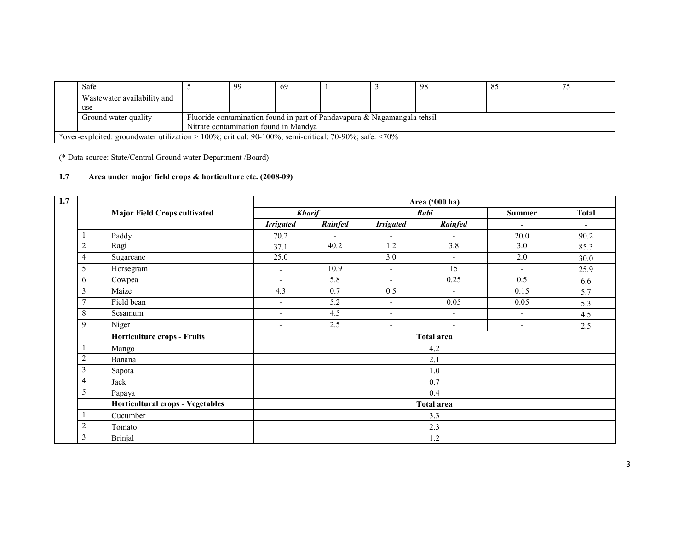| Safe                                                                                                            |  | 99 | 69 |  |  | 98 | -85 |  |  |
|-----------------------------------------------------------------------------------------------------------------|--|----|----|--|--|----|-----|--|--|
| Wastewater availability and                                                                                     |  |    |    |  |  |    |     |  |  |
| use                                                                                                             |  |    |    |  |  |    |     |  |  |
| Fluoride contamination found in part of Pandavapura $\&$ Nagamangala tehsil<br>Ground water quality             |  |    |    |  |  |    |     |  |  |
| Nitrate contamination found in Mandya                                                                           |  |    |    |  |  |    |     |  |  |
| *over-exploited: groundwater utilization > 100%; critical: 90-100%; semi-critical: 70-90%; safe: $\langle 70\%$ |  |    |    |  |  |    |     |  |  |

(\* Data source: State/Central Ground water Department /Board)

### 1.7 Area under major field crops & horticulture etc. (2008-09)

| 1.7 |                |                                     |                          |                          |                          | Area ('000 ha)           |                          |              |  |  |  |
|-----|----------------|-------------------------------------|--------------------------|--------------------------|--------------------------|--------------------------|--------------------------|--------------|--|--|--|
|     |                | <b>Major Field Crops cultivated</b> |                          | <b>Kharif</b>            |                          | Rabi                     | <b>Summer</b>            | <b>Total</b> |  |  |  |
|     |                |                                     | <b>Irrigated</b>         | Rainfed                  | <b>Irrigated</b>         | Rainfed                  |                          | ۰            |  |  |  |
|     |                | Paddy                               | 70.2                     | $\overline{\phantom{0}}$ | $\overline{\phantom{a}}$ | $\overline{\phantom{a}}$ | 20.0                     | 90.2         |  |  |  |
|     | $\overline{2}$ | Ragi                                | 37.1                     | 40.2                     | 1.2                      | 3.8                      | 3.0                      | 85.3         |  |  |  |
|     | 4              | Sugarcane                           | 25.0                     |                          | 3.0                      | $\overline{\phantom{a}}$ | 2.0                      | 30.0         |  |  |  |
|     | 5              | Horsegram                           | $\overline{\phantom{a}}$ | 10.9                     | $\sim$                   | 15                       | $\blacksquare$           | 25.9         |  |  |  |
|     | 6              | Cowpea                              | $\sim$                   | 5.8                      | $\sim$                   | 0.25                     | 0.5                      | 6.6          |  |  |  |
|     | 3              | Maize                               | 4.3                      | 0.7                      | 0.5                      | $\overline{\phantom{a}}$ | 0.15                     | 5.7          |  |  |  |
|     | $\overline{7}$ | Field bean                          | $\blacksquare$           | 5.2                      | $\overline{\phantom{0}}$ | 0.05                     | 0.05                     | 5.3          |  |  |  |
|     | 8              | Sesamum                             | $\overline{\phantom{a}}$ | 4.5                      | $\overline{\phantom{a}}$ | $\blacksquare$           | $\blacksquare$           | 4.5          |  |  |  |
|     | 9              | Niger                               | $\overline{\phantom{a}}$ | 2.5                      | $\overline{\phantom{a}}$ | $\blacksquare$           | $\overline{\phantom{a}}$ | 2.5          |  |  |  |
|     |                | <b>Horticulture crops - Fruits</b>  |                          |                          |                          | <b>Total area</b>        |                          |              |  |  |  |
|     |                | Mango                               | 4.2                      |                          |                          |                          |                          |              |  |  |  |
|     | $\overline{2}$ | Banana                              |                          |                          |                          | 2.1                      |                          |              |  |  |  |
|     | 3              | Sapota                              |                          |                          |                          | 1.0                      |                          |              |  |  |  |
|     | 4              | Jack                                |                          |                          |                          | 0.7                      |                          |              |  |  |  |
|     | 5              | Papaya                              |                          |                          |                          | 0.4                      |                          |              |  |  |  |
|     |                | Horticultural crops - Vegetables    |                          |                          |                          | <b>Total area</b>        |                          |              |  |  |  |
|     |                | Cucumber                            | 3.3                      |                          |                          |                          |                          |              |  |  |  |
|     | $\overline{2}$ | Tomato                              |                          | 2.3                      |                          |                          |                          |              |  |  |  |
|     | 3              | <b>Brinjal</b>                      |                          |                          |                          | 1.2                      |                          |              |  |  |  |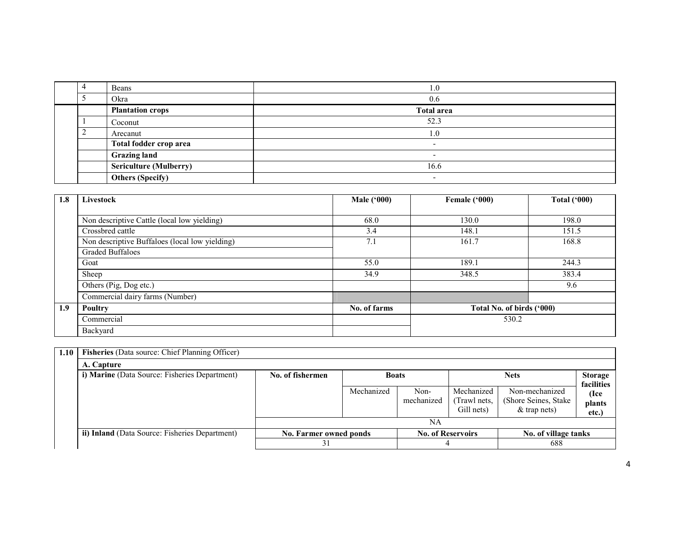|  | Beans                         | 1.0                      |
|--|-------------------------------|--------------------------|
|  | Okra                          | 0.6                      |
|  | <b>Plantation crops</b>       | <b>Total area</b>        |
|  | Coconut                       | 52.3                     |
|  | Arecanut                      | - ( )                    |
|  | Total fodder crop area        | $\overline{\phantom{0}}$ |
|  | <b>Grazing land</b>           | $\overline{\phantom{0}}$ |
|  | <b>Sericulture (Mulberry)</b> | 16.6                     |
|  | <b>Others (Specify)</b>       | $\overline{\phantom{0}}$ |

| 1.8 | Livestock                                      | <b>Male ('000)</b> | Female ('000)             | <b>Total ('000)</b> |  |
|-----|------------------------------------------------|--------------------|---------------------------|---------------------|--|
|     |                                                |                    |                           |                     |  |
|     | Non descriptive Cattle (local low yielding)    | 68.0               | 130.0                     | 198.0               |  |
|     | Crossbred cattle                               | 3.4                | 148.1                     | 151.5               |  |
|     | Non descriptive Buffaloes (local low yielding) | 7.1                | 161.7                     | 168.8               |  |
|     | <b>Graded Buffaloes</b>                        |                    |                           |                     |  |
|     | Goat                                           | 55.0               | 189.1                     | 244.3               |  |
|     | Sheep                                          | 34.9               | 348.5                     | 383.4               |  |
|     | Others (Pig, Dog etc.)                         |                    |                           | 9.6                 |  |
|     | Commercial dairy farms (Number)                |                    |                           |                     |  |
| 1.9 | <b>Poultry</b>                                 | No. of farms       | Total No. of birds ('000) |                     |  |
|     | Commercial                                     |                    | 530.2                     |                     |  |
|     | Backyard                                       |                    |                           |                     |  |

| 1.10 | Fisheries (Data source: Chief Planning Officer) |                        |              |                    |                                          |                                                           |                              |
|------|-------------------------------------------------|------------------------|--------------|--------------------|------------------------------------------|-----------------------------------------------------------|------------------------------|
|      | A. Capture                                      |                        |              |                    |                                          |                                                           |                              |
|      | i) Marine (Data Source: Fisheries Department)   | No. of fishermen       | <b>Boats</b> |                    |                                          | <b>Nets</b>                                               | <b>Storage</b><br>facilities |
|      |                                                 |                        | Mechanized   | Non-<br>mechanized | Mechanized<br>(Trawl nets,<br>Gill nets) | Non-mechanized<br>(Shore Seines, Stake)<br>$&$ trap nets) | (Ice<br>plants<br>etc.)      |
|      |                                                 |                        |              | NA                 |                                          |                                                           |                              |
|      | ii) Inland (Data Source: Fisheries Department)  | No. Farmer owned ponds |              |                    | <b>No. of Reservoirs</b>                 | No. of village tanks                                      |                              |
|      |                                                 | 31                     |              | 4                  |                                          | 688                                                       |                              |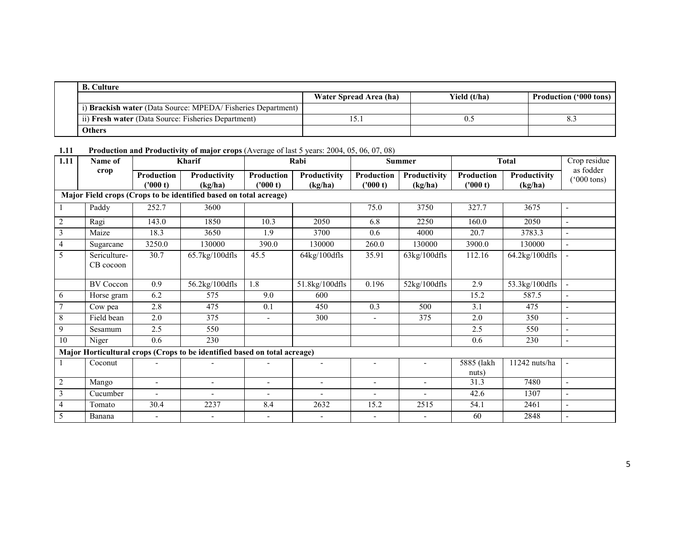| <b>B.</b> Culture                                           |                        |              |                               |  |  |  |  |  |  |  |
|-------------------------------------------------------------|------------------------|--------------|-------------------------------|--|--|--|--|--|--|--|
|                                                             | Water Spread Area (ha) | Yield (t/ha) | <b>Production ('000 tons)</b> |  |  |  |  |  |  |  |
| i) Brackish water (Data Source: MPEDA/Fisheries Department) |                        |              |                               |  |  |  |  |  |  |  |
| ii) Fresh water (Data Source: Fisheries Department)         | 15.                    |              |                               |  |  |  |  |  |  |  |
| <b>Others</b>                                               |                        |              |                               |  |  |  |  |  |  |  |

1.11 Production and Productivity of major crops (Average of last 5 years: 2004, 05, 06, 07, 08)

| 1.11            | Name of                   |                        | Kharif                                                                    |                          | Rabi                    |                       | <b>Summer</b>            |                               | <b>Total</b>            | Crop residue                      |
|-----------------|---------------------------|------------------------|---------------------------------------------------------------------------|--------------------------|-------------------------|-----------------------|--------------------------|-------------------------------|-------------------------|-----------------------------------|
|                 | crop                      | Production<br>('000 t) | Productivity<br>(kg/ha)                                                   | Production<br>('000 t)   | Productivity<br>(kg/ha) | Production<br>(000 t) | Productivity<br>(kg/ha)  | <b>Production</b><br>(1000 t) | Productivity<br>(kg/ha) | as fodder<br>$(000 \text{ tons})$ |
|                 |                           |                        | Major Field crops (Crops to be identified based on total acreage)         |                          |                         |                       |                          |                               |                         |                                   |
|                 | Paddy                     | 252.7                  | 3600                                                                      |                          |                         | 75.0                  | 3750                     | 327.7                         | 3675                    | $\blacksquare$                    |
| $\overline{2}$  | Ragi                      | 143.0                  | 1850                                                                      | 10.3                     | 2050                    | 6.8                   | 2250                     | 160.0                         | 2050                    | $\blacksquare$                    |
| $\mathfrak{Z}$  | Maize                     | 18.3                   | 3650                                                                      | 1.9                      | 3700                    | 0.6                   | 4000                     | 20.7                          | 3783.3                  |                                   |
| $\overline{4}$  | Sugarcane                 | 3250.0                 | 130000                                                                    | 390.0                    | 130000                  | 260.0                 | 130000                   | 3900.0                        | 130000                  |                                   |
| 5               | Sericulture-<br>CB cocoon | 30.7                   | 65.7kg/100dfls                                                            | 45.5                     | $64$ kg/ $100$ dfls     | 35.91                 | $63$ kg/ $100$ dfls      | 112.16                        | 64.2kg/100dfls          |                                   |
|                 | <b>BV</b> Coccon          | 0.9                    | 56.2kg/100dfls                                                            | 1.8                      | 51.8kg/100dfls          | 0.196                 | $52\mathrm{kg}/100$ dfls | 2.9                           | 53.3kg/100dfls          | $\blacksquare$                    |
| 6               | Horse gram                | 6.2                    | 575                                                                       | 9.0                      | 600                     |                       |                          | 15.2                          | 587.5                   |                                   |
| $7\phantom{.0}$ | Cow pea                   | 2.8                    | 475                                                                       | 0.1                      | 450                     | 0.3                   | 500                      | 3.1                           | 475                     | $\overline{\phantom{a}}$          |
| 8               | Field bean                | 2.0                    | 375                                                                       | $\overline{\phantom{a}}$ | 300                     | $\blacksquare$        | 375                      | 2.0                           | 350                     | $\overline{\phantom{a}}$          |
| 9               | Sesamum                   | 2.5                    | 550                                                                       |                          |                         |                       |                          | 2.5                           | 550                     | $\blacksquare$                    |
| 10              | Niger                     | $0.6\,$                | 230                                                                       |                          |                         |                       |                          | 0.6                           | 230                     | $\blacksquare$                    |
|                 |                           |                        | Major Horticultural crops (Crops to be identified based on total acreage) |                          |                         |                       |                          |                               |                         |                                   |
|                 | Coconut                   |                        |                                                                           |                          |                         |                       |                          | 5885 (lakh<br>nuts)           | 11242 nuts/ha           | $\blacksquare$                    |
| $\overline{2}$  | Mango                     | $\blacksquare$         | $\blacksquare$                                                            | $\overline{\phantom{a}}$ | $\tilde{\phantom{a}}$   | $\blacksquare$        | $\blacksquare$           | 31.3                          | 7480                    | $\blacksquare$                    |
| $\mathfrak{Z}$  | Cucumber                  |                        |                                                                           | $\overline{\phantom{a}}$ |                         |                       | $\overline{\phantom{a}}$ | 42.6                          | 1307                    | $\sim$                            |
| $\overline{4}$  | Tomato                    | 30.4                   | 2237                                                                      | 8.4                      | 2632                    | 15.2                  | 2515                     | 54.1                          | 2461                    | $\sim$                            |
| 5               | Banana                    |                        |                                                                           |                          |                         |                       |                          | 60                            | 2848                    |                                   |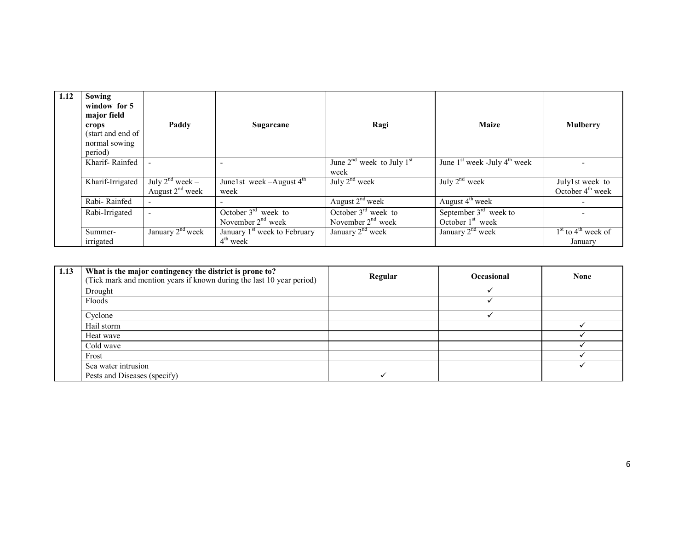| 1.12 | Sowing<br>window for 5<br>major field<br>crops<br>(start and end of<br>normal sowing<br>period) | Paddy                                     | Sugarcane                                              | Ragi                                         | <b>Maize</b>                                  | <b>Mulberry</b>                             |
|------|-------------------------------------------------------------------------------------------------|-------------------------------------------|--------------------------------------------------------|----------------------------------------------|-----------------------------------------------|---------------------------------------------|
|      | Kharif-Rainfed                                                                                  |                                           |                                                        | June $2nd$ week to July $1st$<br>week        | June $1st$ week -July $4th$ week              |                                             |
|      | Kharif-Irrigated                                                                                | July $2^{nd}$ week –<br>August $2nd$ week | June 1st week $-A$ ugust $4th$<br>week                 | July $2nd$ week                              | July $2^{nd}$ week                            | July1st week to<br>October $4th$ week       |
|      | Rabi-Rainfed                                                                                    |                                           |                                                        | August $2nd$ week                            | August $4^{\text{th}}$ week                   |                                             |
|      | Rabi-Irrigated                                                                                  |                                           | October $3rd$ week to<br>November $2nd$ week           | October $3rd$ week to<br>November $2nd$ week | September $3rd$ week to<br>October $1st$ week |                                             |
|      | Summer-<br>irrigated                                                                            | January 2 <sup>nd</sup> week              | January 1 <sup>st</sup> week to February<br>$4th$ week | January 2 <sup>nd</sup> week                 | January 2 <sup>nd</sup> week                  | $1st$ to 4 <sup>th</sup> week of<br>January |

| 1.13 | What is the major contingency the district is prone to?<br>(Tick mark and mention years if known during the last 10 year period) | Regular | <b>Occasional</b> | <b>None</b> |
|------|----------------------------------------------------------------------------------------------------------------------------------|---------|-------------------|-------------|
|      | Drought                                                                                                                          |         |                   |             |
|      | Floods                                                                                                                           |         |                   |             |
|      | Cyclone                                                                                                                          |         |                   |             |
|      | Hail storm                                                                                                                       |         |                   |             |
|      | Heat wave                                                                                                                        |         |                   |             |
|      | Cold wave                                                                                                                        |         |                   |             |
|      | Frost                                                                                                                            |         |                   |             |
|      | Sea water intrusion                                                                                                              |         |                   |             |
|      | Pests and Diseases (specify)                                                                                                     |         |                   |             |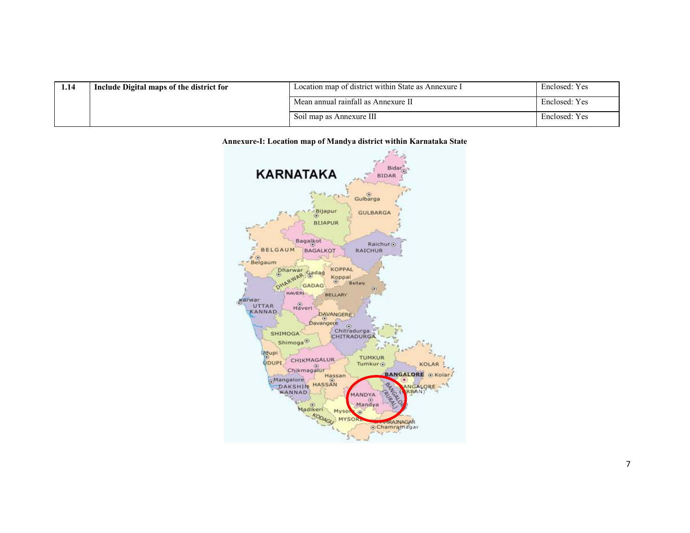| 1.14 | Include Digital maps of the district for | Location map of district within State as Annexure I | Enclosed: Yes |
|------|------------------------------------------|-----------------------------------------------------|---------------|
|      |                                          | Mean annual rainfall as Annexure II                 | Enclosed: Yes |
|      |                                          | Soil map as Annexure III                            | Enclosed: Yes |

#### Annexure-I: Location map of Mandya district within Karnataka State

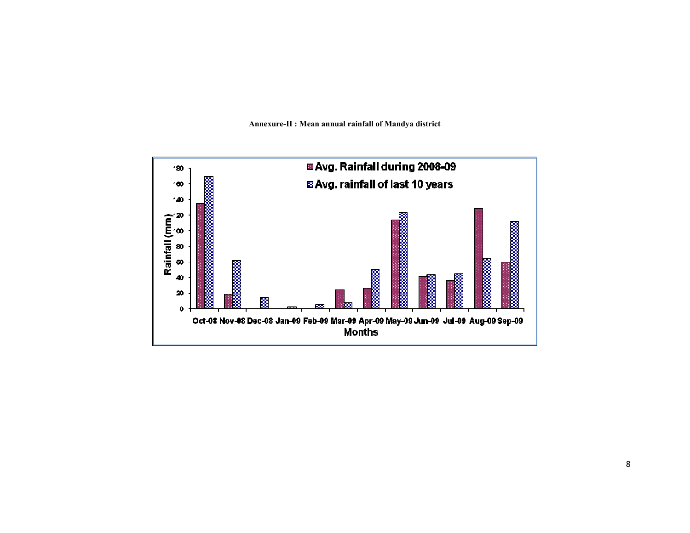

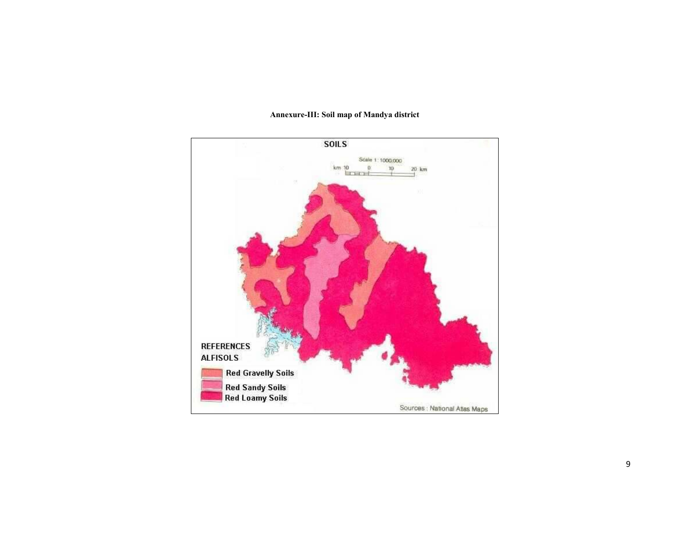

#### Annexure-III: Soil map of Mandya district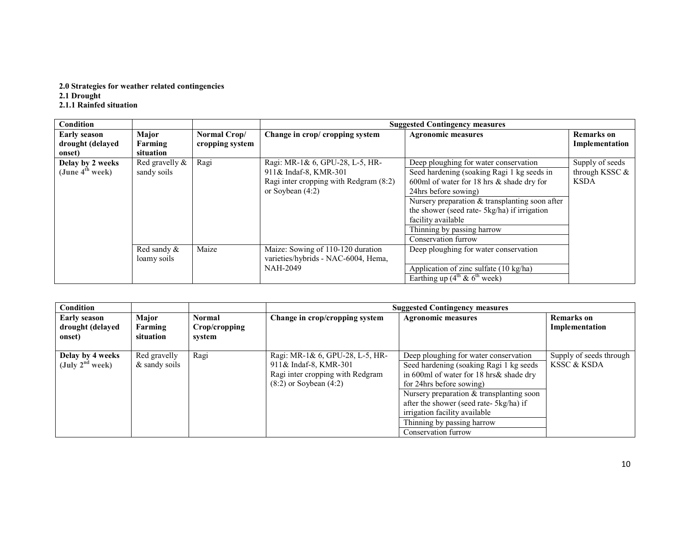# 2.0 Strategies for weather related contingencies 2.1 Drought 2.1.1 Rainfed situation

| Condition                                         |                                  |                                 |                                                                                                                          | <b>Suggested Contingency measures</b>                                                                                                                                                                                                                                                                                                      |                                                  |
|---------------------------------------------------|----------------------------------|---------------------------------|--------------------------------------------------------------------------------------------------------------------------|--------------------------------------------------------------------------------------------------------------------------------------------------------------------------------------------------------------------------------------------------------------------------------------------------------------------------------------------|--------------------------------------------------|
| <b>Early season</b><br>drought (delayed<br>onset) | Major<br>Farming<br>situation    | Normal Crop/<br>cropping system | Change in crop/ cropping system                                                                                          | <b>Agronomic measures</b>                                                                                                                                                                                                                                                                                                                  | <b>Remarks</b> on<br>Implementation              |
| Delay by 2 weeks<br>(June $4^{\text{th}}$ week)   | Red gravelly $\&$<br>sandy soils | Ragi                            | Ragi: MR-1& 6, GPU-28, L-5, HR-<br>911& Indaf-8, KMR-301<br>Ragi inter cropping with Redgram (8:2)<br>or Soybean $(4:2)$ | Deep ploughing for water conservation<br>Seed hardening (soaking Ragi 1 kg seeds in<br>600ml of water for 18 hrs $\&$ shade dry for<br>24hrs before sowing)<br>Nursery preparation $&$ transplanting soon after<br>the shower (seed rate- 5kg/ha) if irrigation<br>facility available<br>Thinning by passing harrow<br>Conservation furrow | Supply of seeds<br>through KSSC &<br><b>KSDA</b> |
|                                                   | Red sandy $\&$<br>loamy soils    | Maize                           | Maize: Sowing of 110-120 duration<br>varieties/hybrids - NAC-6004, Hema,<br><b>NAH-2049</b>                              | Deep ploughing for water conservation<br>Application of zinc sulfate (10 kg/ha)<br>Earthing up $(4^{th} \& 6^{th} \text{ week})$                                                                                                                                                                                                           |                                                  |

| Condition                                             |                                 |                                          |                                                                                                                            | <b>Suggested Contingency measures</b>                                                                                                                                                                                                                                                                                                 |                                        |
|-------------------------------------------------------|---------------------------------|------------------------------------------|----------------------------------------------------------------------------------------------------------------------------|---------------------------------------------------------------------------------------------------------------------------------------------------------------------------------------------------------------------------------------------------------------------------------------------------------------------------------------|----------------------------------------|
| <b>Early season</b><br>drought (delayed<br>onset)     | Major<br>Farming<br>situation   | <b>Normal</b><br>Crop/cropping<br>svstem | Change in crop/cropping system                                                                                             | <b>Agronomic measures</b>                                                                                                                                                                                                                                                                                                             | <b>Remarks</b> on<br>Implementation    |
| Delay by 4 weeks<br>$(\mathrm{July\ 2^{nd} \, week})$ | Red gravelly<br>$&$ sandy soils | Ragi                                     | Ragi: MR-1& 6, GPU-28, L-5, HR-<br>911& Indaf-8, KMR-301<br>Ragi inter cropping with Redgram<br>$(8:2)$ or Soybean $(4:2)$ | Deep ploughing for water conservation<br>Seed hardening (soaking Ragi 1 kg seeds)<br>in 600ml of water for 18 hrs& shade dry<br>for 24hrs before sowing)<br>Nursery preparation & transplanting soon<br>after the shower (seed rate- 5kg/ha) if<br>irrigation facility available<br>Thinning by passing harrow<br>Conservation furrow | Supply of seeds through<br>KSSC & KSDA |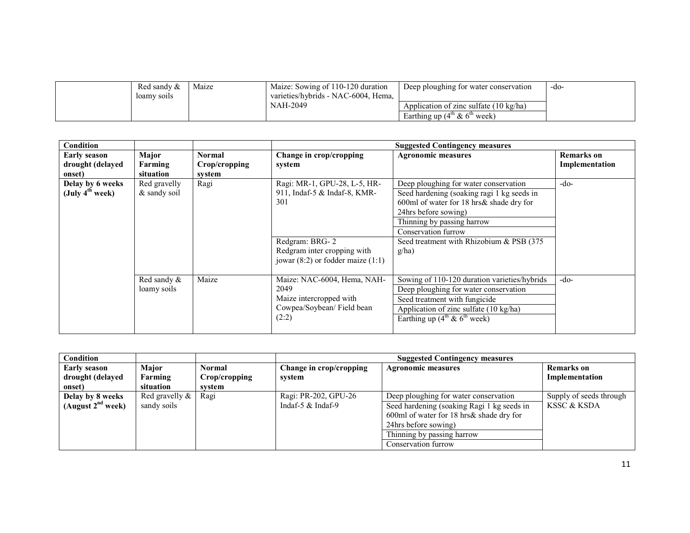| Red sandy $\&$ | Maize | Maize: Sowing of 110-120 duration   | Deep ploughing for water conservation                     | -do- |
|----------------|-------|-------------------------------------|-----------------------------------------------------------|------|
| loamy soils    |       | varieties/hybrids - NAC-6004. Hema. |                                                           |      |
|                |       | NAH-2049                            | Application of zinc sulfate $(10 \text{ kg/ha})$          |      |
|                |       |                                     | Earthing up $(4^{\text{m}} \& 6^{\text{m}} \text{ week})$ |      |

| Condition                                          |                               |                                   |                                                                                                                                                               | <b>Suggested Contingency measures</b>                                                                                                                                                                                                                              |                              |
|----------------------------------------------------|-------------------------------|-----------------------------------|---------------------------------------------------------------------------------------------------------------------------------------------------------------|--------------------------------------------------------------------------------------------------------------------------------------------------------------------------------------------------------------------------------------------------------------------|------------------------------|
| <b>Early season</b><br>drought (delayed<br>onset)  | Major<br>Farming<br>situation | Normal<br>Crop/cropping<br>system | Change in crop/cropping<br>system                                                                                                                             | <b>Agronomic measures</b>                                                                                                                                                                                                                                          | Remarks on<br>Implementation |
| Delay by 6 weeks<br>$(\mathrm{July\ 4^{th} week})$ | Red gravelly<br>& sandy soil  | Ragi                              | Ragi: MR-1, GPU-28, L-5, HR-<br>911, Indaf-5 & Indaf-8, KMR-<br>301<br>Redgram: BRG-2<br>Redgram inter cropping with<br>jowar $(8:2)$ or fodder maize $(1:1)$ | Deep ploughing for water conservation<br>Seed hardening (soaking ragi 1 kg seeds in<br>600ml of water for 18 hrs& shade dry for<br>24hrs before sowing)<br>Thinning by passing harrow<br>Conservation furrow<br>Seed treatment with Rhizobium & PSB (375)<br>g/ha) | $-do-$                       |
|                                                    | Red sandy &<br>loamy soils    | Maize                             | Maize: NAC-6004, Hema, NAH-<br>2049<br>Maize intercropped with<br>Cowpea/Soybean/Field bean<br>(2:2)                                                          | Sowing of 110-120 duration varieties/hybrids<br>Deep ploughing for water conservation<br>Seed treatment with fungicide<br>Application of zinc sulfate (10 kg/ha)<br>Earthing up $(4^{th} \& 6^{th} \text{ week})$                                                  | $-do-$                       |

| Condition              |                   |               | <b>Suggested Contingency measures</b>                |                                            |                         |  |  |
|------------------------|-------------------|---------------|------------------------------------------------------|--------------------------------------------|-------------------------|--|--|
| <b>Early season</b>    | Major             | Normal        | Change in crop/cropping<br><b>Agronomic measures</b> |                                            | <b>Remarks</b> on       |  |  |
| drought (delayed       | Farming           | Crop/cropping | system                                               |                                            | Implementation          |  |  |
| onset)                 | situation         | svstem        |                                                      |                                            |                         |  |  |
| Delay by 8 weeks       | Red gravelly $\&$ | Ragi          | Ragi: PR-202, GPU-26                                 | Deep ploughing for water conservation      | Supply of seeds through |  |  |
| (August $2^{nd}$ week) | sandy soils       |               | Indaf-5 $&$ Indaf-9                                  | Seed hardening (soaking Ragi 1 kg seeds in | KSSC & KSDA             |  |  |
|                        |                   |               |                                                      | 600ml of water for 18 hrs& shade dry for   |                         |  |  |
|                        |                   |               | 24 hrs before sowing)                                |                                            |                         |  |  |
|                        |                   |               | Thinning by passing harrow                           |                                            |                         |  |  |
|                        |                   |               |                                                      | Conservation furrow                        |                         |  |  |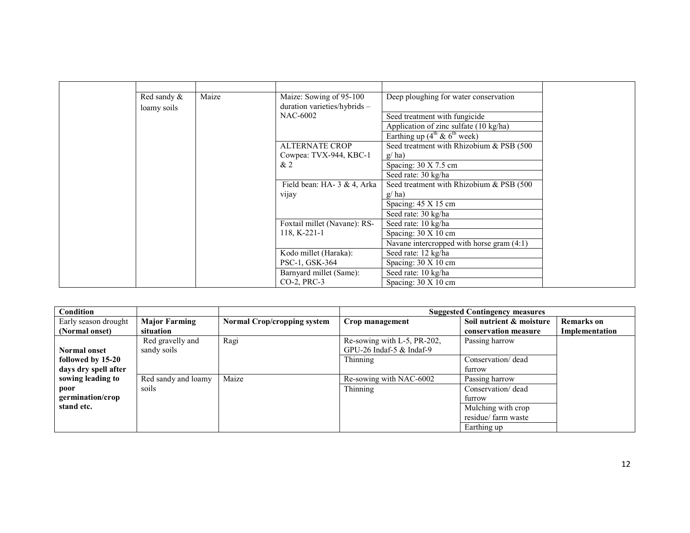| Red sandy & | Maize | Maize: Sowing of 95-100      | Deep ploughing for water conservation                       |
|-------------|-------|------------------------------|-------------------------------------------------------------|
| loamy soils |       | duration varieties/hybrids - |                                                             |
|             |       | <b>NAC-6002</b>              | Seed treatment with fungicide                               |
|             |       |                              | Application of zinc sulfate (10 kg/ha)                      |
|             |       |                              | Earthing up $(4^{\text{th}} \& 6^{\text{th}} \text{ week})$ |
|             |       | <b>ALTERNATE CROP</b>        | Seed treatment with Rhizobium & PSB (500)                   |
|             |       | Cowpea: TVX-944, KBC-1       | g/ha)                                                       |
|             |       | &2                           | Spacing: $30 \text{ X } 7.5 \text{ cm}$                     |
|             |       |                              | Seed rate: 30 kg/ha                                         |
|             |       | Field bean: HA- 3 & 4, Arka  | Seed treatment with Rhizobium & PSB (500)                   |
|             |       | vijay                        | g/ha)                                                       |
|             |       |                              | Spacing: 45 X 15 cm                                         |
|             |       |                              | Seed rate: 30 kg/ha                                         |
|             |       | Foxtail millet (Navane): RS- | Seed rate: 10 kg/ha                                         |
|             |       | 118, K-221-1                 | Spacing: $30 \times 10$ cm                                  |
|             |       |                              | Navane intercropped with horse gram $(4:1)$                 |
|             |       | Kodo millet (Haraka):        | Seed rate: 12 kg/ha                                         |
|             |       | PSC-1, GSK-364               | Spacing: 30 X 10 cm                                         |
|             |       | Barnyard millet (Same):      | Seed rate: 10 kg/ha                                         |
|             |       | CO-2, PRC-3                  | Spacing: $30 \times 10$ cm                                  |

| Condition            |                      |                                    |                             | <b>Suggested Contingency measures</b> |                   |
|----------------------|----------------------|------------------------------------|-----------------------------|---------------------------------------|-------------------|
| Early season drought | <b>Major Farming</b> | <b>Normal Crop/cropping system</b> | Crop management             | Soil nutrient & moisture              | <b>Remarks</b> on |
| (Normal onset)       | situation            |                                    |                             | conservation measure                  | Implementation    |
|                      | Red gravelly and     | Ragi                               | Re-sowing with L-5, PR-202, | Passing harrow                        |                   |
| <b>Normal onset</b>  | sandy soils          |                                    | GPU-26 Indaf-5 $&$ Indaf-9  |                                       |                   |
| followed by 15-20    |                      |                                    | Thinning                    | Conservation/dead                     |                   |
| days dry spell after |                      |                                    |                             | furrow                                |                   |
| sowing leading to    | Red sandy and loamy  | Maize                              | Re-sowing with NAC-6002     | Passing harrow                        |                   |
| poor                 | soils                |                                    | Thinning                    | Conservation/dead                     |                   |
| germination/crop     |                      |                                    |                             | furrow                                |                   |
| stand etc.           |                      |                                    |                             | Mulching with crop                    |                   |
|                      |                      |                                    |                             | residue/ farm waste                   |                   |
|                      |                      |                                    |                             | Earthing up                           |                   |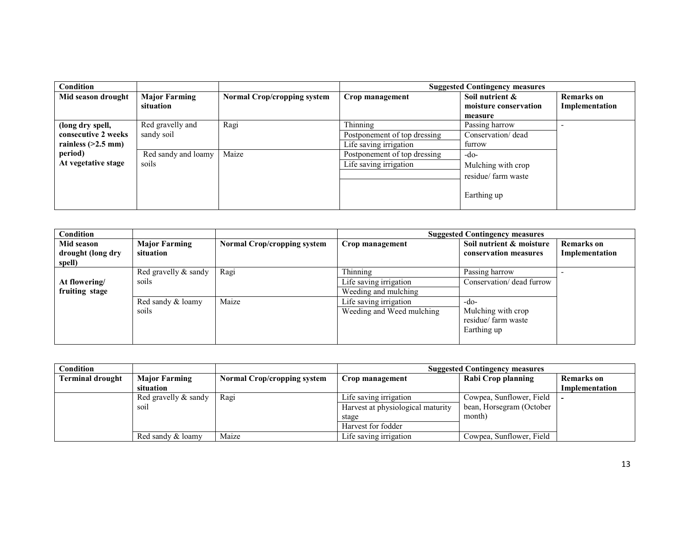| <b>Condition</b>     |                      |                             |                              | <b>Suggested Contingency measures</b> |                |
|----------------------|----------------------|-----------------------------|------------------------------|---------------------------------------|----------------|
| Mid season drought   | <b>Major Farming</b> | Normal Crop/cropping system | Crop management              | Soil nutrient &                       | Remarks on     |
|                      | situation            |                             |                              | moisture conservation                 | Implementation |
|                      |                      |                             |                              | measure                               |                |
| (long dry spell,     | Red gravelly and     | Ragi                        | Thinning                     | Passing harrow                        |                |
| consecutive 2 weeks  | sandy soil           |                             | Postponement of top dressing | Conservation/dead                     |                |
| rainless $(>2.5$ mm) |                      |                             | Life saving irrigation       | furrow                                |                |
| period)              | Red sandy and loamy  | Maize                       | Postponement of top dressing | -do-                                  |                |
| At vegetative stage  | soils                |                             | Life saving irrigation       | Mulching with crop                    |                |
|                      |                      |                             |                              | residue/ farm waste                   |                |
|                      |                      |                             |                              |                                       |                |
|                      |                      |                             |                              | Earthing up                           |                |
|                      |                      |                             |                              |                                       |                |

| Condition                                 |                                   |                                    |                           | <b>Suggested Contingency measures</b>                    |                                     |
|-------------------------------------------|-----------------------------------|------------------------------------|---------------------------|----------------------------------------------------------|-------------------------------------|
| Mid season<br>drought (long dry<br>spell) | <b>Major Farming</b><br>situation | <b>Normal Crop/cropping system</b> | Crop management           | Soil nutrient & moisture<br>conservation measures        | <b>Remarks</b> on<br>Implementation |
|                                           | Red gravelly $\&$ sandy           | Ragi                               | Thinning                  | Passing harrow                                           |                                     |
| At flowering/                             | soils                             |                                    | Life saving irrigation    | Conservation/ dead furrow                                |                                     |
| fruiting stage                            |                                   |                                    | Weeding and mulching      |                                                          |                                     |
|                                           | Red sandy & loamy                 | Maize                              | Life saving irrigation    | -do-                                                     |                                     |
|                                           | soils                             |                                    | Weeding and Weed mulching | Mulching with crop<br>residue/ farm waste<br>Earthing up |                                     |

| Condition               |                      |                                    | <b>Suggested Contingency measures</b> |                          |                |  |
|-------------------------|----------------------|------------------------------------|---------------------------------------|--------------------------|----------------|--|
| <b>Terminal drought</b> | <b>Major Farming</b> | <b>Normal Crop/cropping system</b> | Crop management                       | Rabi Crop planning       | Remarks on     |  |
|                         | situation            |                                    |                                       |                          | Implementation |  |
|                         | Red gravelly & sandy | Ragi                               | Life saving irrigation                | Cowpea, Sunflower, Field |                |  |
|                         | SO1.                 |                                    | Harvest at physiological maturity     | bean, Horsegram (October |                |  |
|                         |                      |                                    | stage                                 | month)                   |                |  |
|                         |                      |                                    | Harvest for fodder                    |                          |                |  |
|                         | Red sandy & loamy    | Maize                              | Life saving irrigation                | Cowpea, Sunflower, Field |                |  |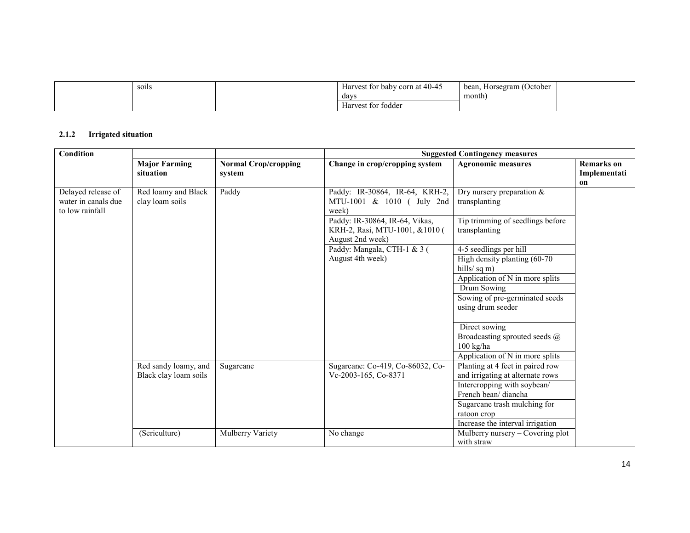| soils<br>$  -$ | corn at $40-45$<br>Harvest for baby | bean.<br>, Horsegram (October |  |
|----------------|-------------------------------------|-------------------------------|--|
|                | days                                | month)                        |  |
|                | tor fodder<br>Harvest               |                               |  |

#### 2.1.2 Irrigated situation

| Condition                                                    |                                        |                                       |                                                                                      | <b>Suggested Contingency measures</b>                |                                         |
|--------------------------------------------------------------|----------------------------------------|---------------------------------------|--------------------------------------------------------------------------------------|------------------------------------------------------|-----------------------------------------|
|                                                              | <b>Major Farming</b><br>situation      | <b>Normal Crop/cropping</b><br>system | Change in crop/cropping system                                                       | <b>Agronomic measures</b>                            | <b>Remarks</b> on<br>Implementati<br>on |
| Delayed release of<br>water in canals due<br>to low rainfall | Red loamy and Black<br>clay loam soils | Paddy                                 | Paddy: IR-30864, IR-64, KRH-2,<br>MTU-1001 & 1010 ( July 2nd<br>week)                | Dry nursery preparation $\&$<br>transplanting        |                                         |
|                                                              |                                        |                                       | Paddy: IR-30864, IR-64, Vikas,<br>KRH-2, Rasi, MTU-1001, &1010 (<br>August 2nd week) | Tip trimming of seedlings before<br>transplanting    |                                         |
|                                                              |                                        |                                       | Paddy: Mangala, CTH-1 & 3 (                                                          | 4-5 seedlings per hill                               |                                         |
|                                                              |                                        |                                       | August 4th week)                                                                     | High density planting (60-70)<br>hills/sq m)         |                                         |
|                                                              |                                        |                                       |                                                                                      | Application of N in more splits                      |                                         |
|                                                              |                                        |                                       |                                                                                      | Drum Sowing                                          |                                         |
|                                                              |                                        |                                       |                                                                                      | Sowing of pre-germinated seeds<br>using drum seeder  |                                         |
|                                                              |                                        |                                       |                                                                                      | Direct sowing                                        |                                         |
|                                                              |                                        |                                       |                                                                                      | Broadcasting sprouted seeds @<br>$100 \text{ kg/ha}$ |                                         |
|                                                              |                                        |                                       |                                                                                      | Application of N in more splits                      |                                         |
|                                                              | Red sandy loamy, and                   | Sugarcane                             | Sugarcane: Co-419, Co-86032, Co-                                                     | Planting at 4 feet in paired row                     |                                         |
|                                                              | Black clay loam soils                  |                                       | Vc-2003-165, Co-8371                                                                 | and irrigating at alternate rows                     |                                         |
|                                                              |                                        |                                       |                                                                                      | Intercropping with soybean/                          |                                         |
|                                                              |                                        |                                       |                                                                                      | French bean/diancha                                  |                                         |
|                                                              |                                        |                                       |                                                                                      | Sugarcane trash mulching for                         |                                         |
|                                                              |                                        |                                       |                                                                                      | ratoon crop                                          |                                         |
|                                                              |                                        |                                       |                                                                                      | Increase the interval irrigation                     |                                         |
|                                                              | (Sericulture)                          | Mulberry Variety                      | No change                                                                            | Mulberry nursery – Covering plot<br>with straw       |                                         |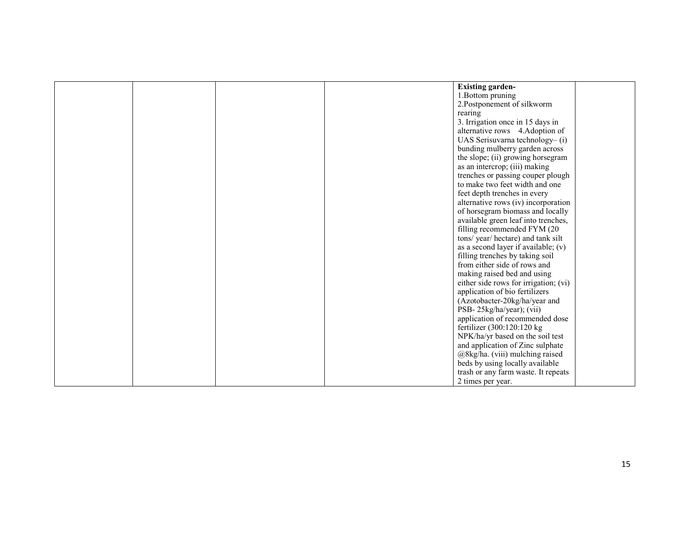| <b>Existing garden-</b>               |
|---------------------------------------|
| 1. Bottom pruning                     |
| 2. Postponement of silkworm           |
| rearing                               |
| 3. Irrigation once in 15 days in      |
| alternative rows 4.Adoption of        |
| UAS Serisuvarna technology-(i)        |
| bunding mulberry garden across        |
| the slope; (ii) growing horsegram     |
| as an intercrop; (iii) making         |
| trenches or passing couper plough     |
| to make two feet width and one        |
| feet depth trenches in every          |
| alternative rows (iv) incorporation   |
| of horsegram biomass and locally      |
| available green leaf into trenches,   |
| filling recommended FYM (20           |
| tons/year/hectare) and tank silt      |
| as a second layer if available; $(v)$ |
| filling trenches by taking soil       |
| from either side of rows and          |
| making raised bed and using           |
| either side rows for irrigation; (vi) |
| application of bio fertilizers        |
| (Azotobacter-20kg/ha/year and         |
| PSB-25kg/ha/year); (vii)              |
| application of recommended dose       |
| fertilizer (300:120:120 kg)           |
| NPK/ha/yr based on the soil test      |
| and application of Zinc sulphate      |
| @8kg/ha. (viii) mulching raised       |
| beds by using locally available       |
| trash or any farm waste. It repeats   |
| 2 times per year.                     |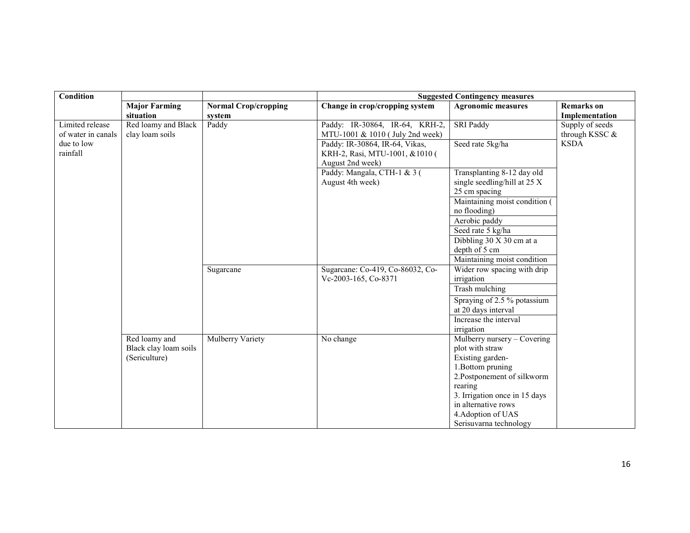| Condition          |                       |                             | <b>Suggested Contingency measures</b> |                                |                   |
|--------------------|-----------------------|-----------------------------|---------------------------------------|--------------------------------|-------------------|
|                    | <b>Major Farming</b>  | <b>Normal Crop/cropping</b> | Change in crop/cropping system        | <b>Agronomic measures</b>      | <b>Remarks</b> on |
|                    | situation             | system                      |                                       |                                | Implementation    |
| Limited release    | Red loamy and Black   | Paddy                       | Paddy: IR-30864, IR-64, KRH-2,        | <b>SRI Paddy</b>               | Supply of seeds   |
| of water in canals | clay loam soils       |                             | MTU-1001 & 1010 (July 2nd week)       |                                | through KSSC &    |
| due to low         |                       |                             | Paddy: IR-30864, IR-64, Vikas,        | Seed rate 5kg/ha               | <b>KSDA</b>       |
| rainfall           |                       |                             | KRH-2, Rasi, MTU-1001, &1010 (        |                                |                   |
|                    |                       |                             | August 2nd week)                      |                                |                   |
|                    |                       |                             | Paddy: Mangala, CTH-1 & 3 (           | Transplanting 8-12 day old     |                   |
|                    |                       |                             | August 4th week)                      | single seedling/hill at $25 X$ |                   |
|                    |                       |                             |                                       | 25 cm spacing                  |                   |
|                    |                       |                             |                                       | Maintaining moist condition (  |                   |
|                    |                       |                             |                                       | no flooding)                   |                   |
|                    |                       |                             |                                       | Aerobic paddy                  |                   |
|                    |                       |                             |                                       | Seed rate 5 kg/ha              |                   |
|                    |                       |                             |                                       | Dibbling 30 X 30 cm at a       |                   |
|                    |                       |                             |                                       | depth of 5 cm                  |                   |
|                    |                       |                             |                                       | Maintaining moist condition    |                   |
|                    |                       | Sugarcane                   | Sugarcane: Co-419, Co-86032, Co-      | Wider row spacing with drip    |                   |
|                    |                       |                             | Vc-2003-165, Co-8371                  | irrigation                     |                   |
|                    |                       |                             |                                       | Trash mulching                 |                   |
|                    |                       |                             |                                       | Spraying of 2.5 % potassium    |                   |
|                    |                       |                             |                                       | at 20 days interval            |                   |
|                    |                       |                             |                                       | Increase the interval          |                   |
|                    |                       |                             |                                       | irrigation                     |                   |
|                    | Red loamy and         | <b>Mulberry Variety</b>     | No change                             | Mulberry nursery – Covering    |                   |
|                    | Black clay loam soils |                             |                                       | plot with straw                |                   |
|                    | (Sericulture)         |                             |                                       | Existing garden-               |                   |
|                    |                       |                             |                                       | 1. Bottom pruning              |                   |
|                    |                       |                             |                                       | 2. Postponement of silkworm    |                   |
|                    |                       |                             |                                       | rearing                        |                   |
|                    |                       |                             |                                       | 3. Irrigation once in 15 days  |                   |
|                    |                       |                             |                                       | in alternative rows            |                   |
|                    |                       |                             |                                       | 4. Adoption of UAS             |                   |
|                    |                       |                             |                                       | Serisuvarna technology         |                   |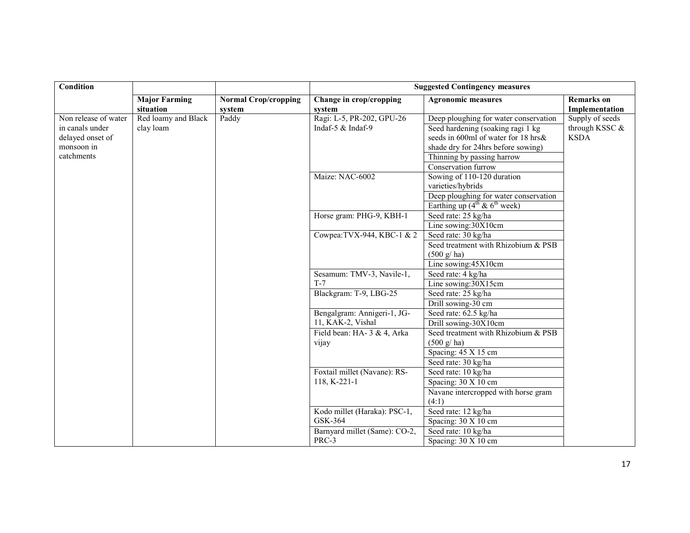| Condition            |                                   |                                       | <b>Suggested Contingency measures</b> |                                               |                                     |
|----------------------|-----------------------------------|---------------------------------------|---------------------------------------|-----------------------------------------------|-------------------------------------|
|                      | <b>Major Farming</b><br>situation | <b>Normal Crop/cropping</b><br>system | Change in crop/cropping<br>system     | <b>Agronomic measures</b>                     | <b>Remarks</b> on<br>Implementation |
| Non release of water | Red loamy and Black               | Paddy                                 | Ragi: L-5, PR-202, GPU-26             | Deep ploughing for water conservation         | Supply of seeds                     |
| in canals under      | clay loam                         |                                       | Indaf-5 $&$ Indaf-9                   | Seed hardening (soaking ragi 1 kg)            | through KSSC &                      |
| delayed onset of     |                                   |                                       |                                       | seeds in 600ml of water for 18 hrs&           | <b>KSDA</b>                         |
| monsoon in           |                                   |                                       |                                       | shade dry for 24hrs before sowing)            |                                     |
| catchments           |                                   |                                       |                                       | Thinning by passing harrow                    |                                     |
|                      |                                   |                                       |                                       | Conservation furrow                           |                                     |
|                      |                                   |                                       | Maize: NAC-6002                       | Sowing of 110-120 duration                    |                                     |
|                      |                                   |                                       |                                       | varieties/hybrids                             |                                     |
|                      |                                   |                                       |                                       | Deep ploughing for water conservation         |                                     |
|                      |                                   |                                       |                                       | Earthing up $(4^{th} \& 6^{th} \text{ week})$ |                                     |
|                      |                                   |                                       | Horse gram: PHG-9, KBH-1              | Seed rate: 25 kg/ha                           |                                     |
|                      |                                   |                                       |                                       | Line sowing:30X10cm                           |                                     |
|                      |                                   |                                       | Cowpea: TVX-944, KBC-1 & 2            | Seed rate: 30 kg/ha                           |                                     |
|                      |                                   |                                       |                                       | Seed treatment with Rhizobium & PSB           |                                     |
|                      |                                   |                                       |                                       | $(500 \text{ g/ha})$                          |                                     |
|                      |                                   |                                       |                                       | Line sowing: 45X10cm                          |                                     |
|                      |                                   |                                       | Sesamum: TMV-3, Navile-1,             | Seed rate: 4 kg/ha                            |                                     |
|                      |                                   |                                       | $T-7$                                 | Line sowing:30X15cm                           |                                     |
|                      |                                   |                                       | Blackgram: T-9, LBG-25                | Seed rate: 25 kg/ha                           |                                     |
|                      |                                   |                                       |                                       | Drill sowing-30 cm                            |                                     |
|                      |                                   |                                       | Bengalgram: Annigeri-1, JG-           | Seed rate: 62.5 kg/ha                         |                                     |
|                      |                                   |                                       | 11, KAK-2, Vishal                     | Drill sowing-30X10cm                          |                                     |
|                      |                                   |                                       | Field bean: HA- 3 & 4, Arka<br>vijay  | Seed treatment with Rhizobium & PSB           |                                     |
|                      |                                   |                                       |                                       | $(500 \text{ g/ha})$                          |                                     |
|                      |                                   |                                       |                                       | Spacing: 45 X 15 cm                           |                                     |
|                      |                                   |                                       |                                       | Seed rate: 30 kg/ha                           |                                     |
|                      |                                   |                                       | Foxtail millet (Navane): RS-          | Seed rate: 10 kg/ha                           |                                     |
|                      |                                   |                                       | 118, K-221-1                          | Spacing: 30 X 10 cm                           |                                     |
|                      |                                   |                                       |                                       | Navane intercropped with horse gram           |                                     |
|                      |                                   |                                       |                                       | (4:1)                                         |                                     |
|                      |                                   |                                       | Kodo millet (Haraka): PSC-1,          | Seed rate: 12 kg/ha                           |                                     |
|                      |                                   |                                       | GSK-364                               | Spacing: 30 X 10 cm                           |                                     |
|                      |                                   |                                       | Barnyard millet (Same): CO-2,         | Seed rate: 10 kg/ha                           |                                     |
|                      |                                   |                                       | PRC-3                                 | Spacing: 30 X 10 cm                           |                                     |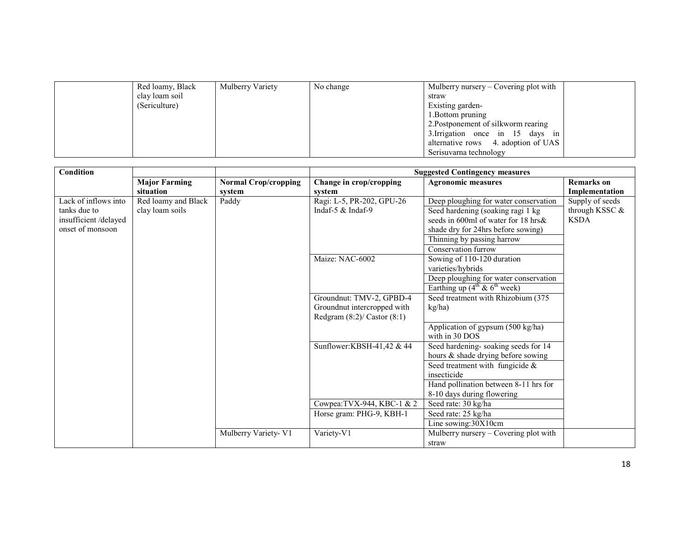| Red loamy, Black | Mulberry Variety | No change | Mulberry nursery – Covering plot with |  |
|------------------|------------------|-----------|---------------------------------------|--|
| clay loam soil   |                  |           | straw                                 |  |
| (Sericulture)    |                  |           | Existing garden-                      |  |
|                  |                  |           | 1. Bottom pruning                     |  |
|                  |                  |           | 2. Postponement of silkworm rearing   |  |
|                  |                  |           | 3. Irrigation once in 15 days in      |  |
|                  |                  |           | alternative rows 4. adoption of UAS   |  |
|                  |                  |           | Serisuvarna technology                |  |

| Condition             |                      |                             |                                  | <b>Suggested Contingency measures</b>         |                   |
|-----------------------|----------------------|-----------------------------|----------------------------------|-----------------------------------------------|-------------------|
|                       | <b>Major Farming</b> | <b>Normal Crop/cropping</b> | Change in crop/cropping          | <b>Agronomic measures</b>                     | <b>Remarks</b> on |
|                       | situation            | system                      | system                           |                                               | Implementation    |
| Lack of inflows into  | Red loamy and Black  | Paddy                       | Ragi: L-5, PR-202, GPU-26        | Deep ploughing for water conservation         | Supply of seeds   |
| tanks due to          | clay loam soils      |                             | Indaf-5 $&$ Indaf-9              | Seed hardening (soaking ragi 1 kg             | through KSSC &    |
| insufficient /delayed |                      |                             |                                  | seeds in 600ml of water for 18 hrs&           | <b>KSDA</b>       |
| onset of monsoon      |                      |                             |                                  | shade dry for 24hrs before sowing)            |                   |
|                       |                      |                             |                                  | Thinning by passing harrow                    |                   |
|                       |                      |                             |                                  | Conservation furrow                           |                   |
|                       |                      |                             | Maize: NAC-6002                  | Sowing of 110-120 duration                    |                   |
|                       |                      |                             |                                  | varieties/hybrids                             |                   |
|                       |                      |                             |                                  | Deep ploughing for water conservation         |                   |
|                       |                      |                             |                                  | Earthing up $(4^{th} \& 6^{th} \text{ week})$ |                   |
|                       |                      |                             | Groundnut: TMV-2, GPBD-4         | Seed treatment with Rhizobium (375            |                   |
|                       |                      |                             | Groundnut intercropped with      | kg/ha)                                        |                   |
|                       |                      |                             | Redgram $(8:2)$ / Castor $(8:1)$ |                                               |                   |
|                       |                      |                             |                                  | Application of gypsum (500 kg/ha)             |                   |
|                       |                      |                             |                                  | with in 30 DOS                                |                   |
|                       |                      |                             | Sunflower:KBSH-41,42 & 44        | Seed hardening-soaking seeds for 14           |                   |
|                       |                      |                             |                                  | hours & shade drying before sowing            |                   |
|                       |                      |                             |                                  | Seed treatment with fungicide &               |                   |
|                       |                      |                             |                                  | insecticide                                   |                   |
|                       |                      |                             |                                  | Hand pollination between 8-11 hrs for         |                   |
|                       |                      |                             |                                  | 8-10 days during flowering                    |                   |
|                       |                      |                             | Cowpea: TVX-944, KBC-1 & 2       | Seed rate: 30 kg/ha                           |                   |
|                       |                      |                             | Horse gram: PHG-9, KBH-1         | Seed rate: 25 kg/ha                           |                   |
|                       |                      |                             |                                  | Line sowing:30X10cm                           |                   |
|                       |                      | Mulberry Variety- V1        | Variety-V1                       | Mulberry nursery – Covering plot with         |                   |
|                       |                      |                             |                                  | straw                                         |                   |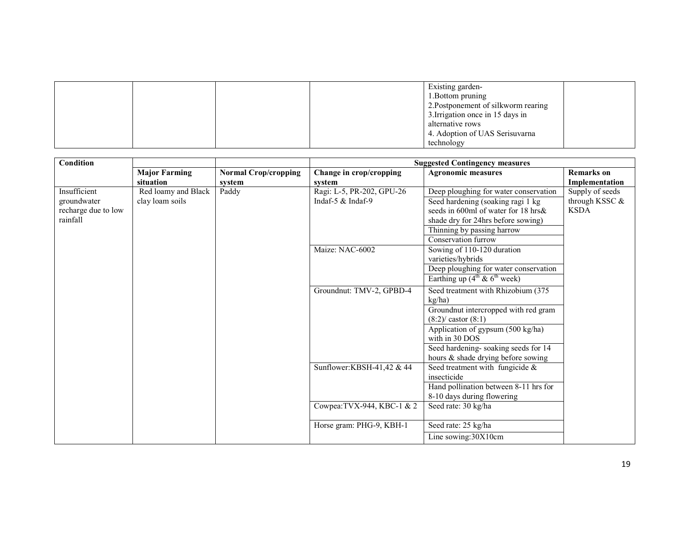|  |  | Existing garden-                    |  |
|--|--|-------------------------------------|--|
|  |  | 1. Bottom pruning                   |  |
|  |  | 2. Postponement of silkworm rearing |  |
|  |  | 3. Irrigation once in 15 days in    |  |
|  |  | alternative rows                    |  |
|  |  | 4. Adoption of UAS Serisuvarna      |  |
|  |  | technology                          |  |

| <b>Condition</b>                                               |                                        |                                       |                                                         | <b>Suggested Contingency measures</b>                                                                                                                                                                                                                      |                                                  |
|----------------------------------------------------------------|----------------------------------------|---------------------------------------|---------------------------------------------------------|------------------------------------------------------------------------------------------------------------------------------------------------------------------------------------------------------------------------------------------------------------|--------------------------------------------------|
|                                                                | <b>Major Farming</b><br>situation      | <b>Normal Crop/cropping</b><br>system | Change in crop/cropping<br>system                       | <b>Agronomic measures</b>                                                                                                                                                                                                                                  | <b>Remarks</b> on<br>Implementation              |
| Insufficient<br>groundwater<br>recharge due to low<br>rainfall | Red loamy and Black<br>clay loam soils | Paddy                                 | Ragi: L-5, PR-202, GPU-26<br>Indaf-5 $&$ Indaf-9        | Deep ploughing for water conservation<br>Seed hardening (soaking ragi 1 kg<br>seeds in 600ml of water for 18 hrs $\&$<br>shade dry for 24hrs before sowing)<br>Thinning by passing harrow<br>Conservation furrow                                           | Supply of seeds<br>through KSSC &<br><b>KSDA</b> |
|                                                                |                                        |                                       | Maize: NAC-6002                                         | Sowing of 110-120 duration<br>varieties/hybrids<br>Deep ploughing for water conservation<br>Earthing up $(4^{\text{th}} \& 6^{\text{th}} \text{ week})$                                                                                                    |                                                  |
|                                                                |                                        |                                       | Groundnut: TMV-2, GPBD-4                                | Seed treatment with Rhizobium (375<br>kg/ha)<br>Groundnut intercropped with red gram<br>$(8:2) / \text{castor } (8:1)$<br>Application of gypsum (500 kg/ha)<br>with in 30 DOS<br>Seed hardening-soaking seeds for 14<br>hours & shade drying before sowing |                                                  |
|                                                                |                                        |                                       | Sunflower:KBSH-41,42 & 44<br>Cowpea: TVX-944, KBC-1 & 2 | Seed treatment with fungicide $\&$<br>insecticide<br>Hand pollination between 8-11 hrs for<br>8-10 days during flowering<br>Seed rate: 30 kg/ha                                                                                                            |                                                  |
|                                                                |                                        |                                       | Horse gram: PHG-9, KBH-1                                | Seed rate: 25 kg/ha<br>Line sowing:30X10cm                                                                                                                                                                                                                 |                                                  |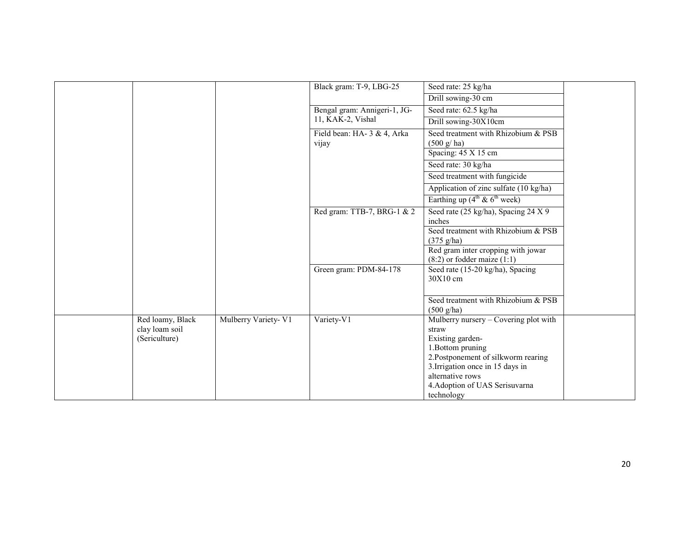|                                                     |                      | Black gram: T-9, LBG-25              | Seed rate: 25 kg/ha                                                                                                            |  |
|-----------------------------------------------------|----------------------|--------------------------------------|--------------------------------------------------------------------------------------------------------------------------------|--|
|                                                     |                      |                                      | Drill sowing-30 cm                                                                                                             |  |
|                                                     |                      | Bengal gram: Annigeri-1, JG-         | Seed rate: 62.5 kg/ha                                                                                                          |  |
|                                                     |                      | 11, KAK-2, Vishal                    | Drill sowing-30X10cm                                                                                                           |  |
|                                                     |                      | Field bean: HA- 3 & 4, Arka<br>vijay | Seed treatment with Rhizobium & PSB<br>$(500 \text{ g/ha})$                                                                    |  |
|                                                     |                      |                                      | Spacing: 45 X 15 cm                                                                                                            |  |
|                                                     |                      |                                      | Seed rate: 30 kg/ha                                                                                                            |  |
|                                                     |                      |                                      | Seed treatment with fungicide                                                                                                  |  |
|                                                     |                      |                                      | Application of zinc sulfate (10 kg/ha)                                                                                         |  |
|                                                     |                      |                                      | Earthing up $(4^{\text{th}} \& 6^{\text{th}} \text{ week})$                                                                    |  |
|                                                     |                      | Red gram: TTB-7, BRG-1 & 2           | Seed rate (25 kg/ha), Spacing 24 X 9<br>inches                                                                                 |  |
|                                                     |                      |                                      | Seed treatment with Rhizobium & PSB<br>$(375 \text{ g/ha})$                                                                    |  |
|                                                     |                      |                                      | Red gram inter cropping with jowar<br>$(8:2)$ or fodder maize $(1:1)$                                                          |  |
|                                                     |                      | Green gram: PDM-84-178               | Seed rate (15-20 kg/ha), Spacing<br>30X10 cm                                                                                   |  |
|                                                     |                      |                                      | Seed treatment with Rhizobium & PSB<br>$(500 \text{ g/ha})$                                                                    |  |
| Red loamy, Black<br>clay loam soil<br>(Sericulture) | Mulberry Variety- V1 | Variety-V1                           | Mulberry nursery – Covering plot with<br>straw<br>Existing garden-<br>1. Bottom pruning<br>2. Postponement of silkworm rearing |  |
|                                                     |                      |                                      | 3. Irrigation once in 15 days in<br>alternative rows<br>4. Adoption of UAS Serisuvarna<br>technology                           |  |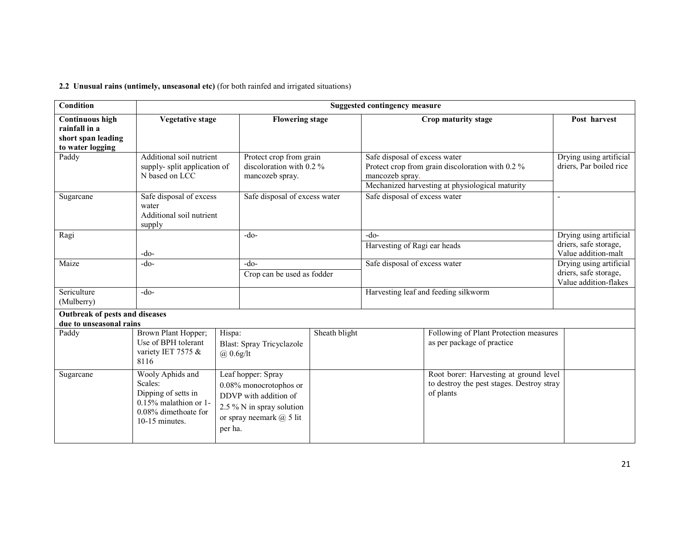2.2 Unusual rains (untimely, unseasonal etc) (for both rainfed and irrigated situations)

| <b>Condition</b>                                                                  |                                                                                                                             | <b>Suggested contingency measure</b>                                                                                                          |               |                                                  |                                                                                                     |                                                                           |
|-----------------------------------------------------------------------------------|-----------------------------------------------------------------------------------------------------------------------------|-----------------------------------------------------------------------------------------------------------------------------------------------|---------------|--------------------------------------------------|-----------------------------------------------------------------------------------------------------|---------------------------------------------------------------------------|
| <b>Continuous high</b><br>rainfall in a<br>short span leading<br>to water logging | <b>Vegetative stage</b>                                                                                                     | <b>Flowering stage</b>                                                                                                                        |               |                                                  | Crop maturity stage                                                                                 | Post harvest                                                              |
| Paddy                                                                             | Additional soil nutrient<br>supply-split application of<br>N based on LCC                                                   | Protect crop from grain<br>discoloration with 0.2 %<br>mancozeb spray.                                                                        |               | Safe disposal of excess water<br>mancozeb spray. | Protect crop from grain discoloration with 0.2 %<br>Mechanized harvesting at physiological maturity | Drying using artificial<br>driers, Par boiled rice                        |
| Sugarcane                                                                         | Safe disposal of excess<br>water<br>Additional soil nutrient<br>supply                                                      | Safe disposal of excess water                                                                                                                 |               | Safe disposal of excess water                    |                                                                                                     |                                                                           |
| Ragi                                                                              | $-do-$                                                                                                                      | $-do-$                                                                                                                                        |               | $-do-$<br>Harvesting of Ragi ear heads           |                                                                                                     | Drying using artificial<br>driers, safe storage,<br>Value addition-malt   |
| Maize                                                                             | $-do-$                                                                                                                      | $-do-$<br>Crop can be used as fodder                                                                                                          |               | Safe disposal of excess water                    |                                                                                                     | Drying using artificial<br>driers, safe storage,<br>Value addition-flakes |
| Sericulture<br>(Mulberry)                                                         | $-do-$                                                                                                                      |                                                                                                                                               |               |                                                  | Harvesting leaf and feeding silkworm                                                                |                                                                           |
| Outbreak of pests and diseases<br>due to unseasonal rains                         |                                                                                                                             |                                                                                                                                               |               |                                                  |                                                                                                     |                                                                           |
| Paddy                                                                             | Brown Plant Hopper;<br>Use of BPH tolerant<br>variety IET 7575 &<br>8116                                                    | Hispa:<br><b>Blast: Spray Tricyclazole</b><br>$\omega$ 0.6g/lt                                                                                | Sheath blight |                                                  | Following of Plant Protection measures<br>as per package of practice                                |                                                                           |
| Sugarcane                                                                         | Wooly Aphids and<br>Scales:<br>Dipping of setts in<br>$0.15\%$ malathion or 1.<br>$0.08\%$ dimethoate for<br>10-15 minutes. | Leaf hopper: Spray<br>0.08% monocrotophos or<br>DDVP with addition of<br>2.5 % N in spray solution<br>or spray neemark $(a)$ 5 lit<br>per ha. |               |                                                  | Root borer: Harvesting at ground level<br>to destroy the pest stages. Destroy stray<br>of plants    |                                                                           |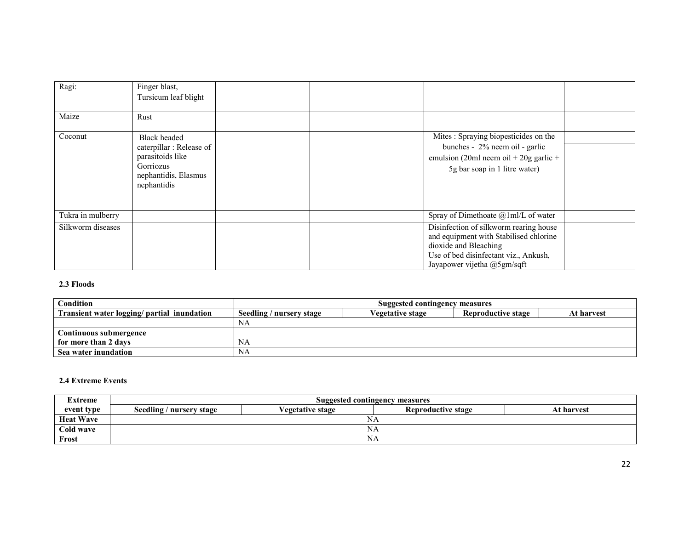| Ragi:             | Finger blast,<br>Tursicum leaf blight                                                                                  |                                                                                                                                                                                   |
|-------------------|------------------------------------------------------------------------------------------------------------------------|-----------------------------------------------------------------------------------------------------------------------------------------------------------------------------------|
| Maize             | Rust                                                                                                                   |                                                                                                                                                                                   |
| Coconut           | <b>Black</b> headed<br>caterpillar: Release of<br>parasitoids like<br>Gorriozus<br>nephantidis, Elasmus<br>nephantidis | Mites: Spraying biopesticides on the<br>bunches - 2% neem oil - garlic<br>emulsion (20ml neem oil + 20g garlic +<br>5g bar soap in 1 litre water)                                 |
| Tukra in mulberry |                                                                                                                        | Spray of Dimethoate @1ml/L of water                                                                                                                                               |
| Silkworm diseases |                                                                                                                        | Disinfection of silkworm rearing house<br>and equipment with Stabilised chlorine<br>dioxide and Bleaching<br>Use of bed disinfectant viz., Ankush,<br>Jayapower vijetha @5gm/sqft |

#### 2.3 Floods

| <b>Condition</b>                            | Suggested contingency measures |                         |                           |            |
|---------------------------------------------|--------------------------------|-------------------------|---------------------------|------------|
| Transient water logging/ partial inundation | Seedling / nursery stage       | <b>Vegetative stage</b> | <b>Reproductive stage</b> | At harvest |
|                                             | NA                             |                         |                           |            |
| Continuous submergence                      |                                |                         |                           |            |
| for more than 2 days                        | NA                             |                         |                           |            |
| Sea water inundation                        | NA                             |                         |                           |            |

#### 2.4 Extreme Events

| Extreme          | Suggested contingency measures                                                          |  |    |  |  |  |
|------------------|-----------------------------------------------------------------------------------------|--|----|--|--|--|
| event type       | Seedling / nursery stage<br><b>Reproductive stage</b><br>At harvest<br>√egetative stage |  |    |  |  |  |
| <b>Heat Wave</b> | ΝA                                                                                      |  |    |  |  |  |
| Cold wave        | NΑ                                                                                      |  |    |  |  |  |
| Frost            |                                                                                         |  | ΝA |  |  |  |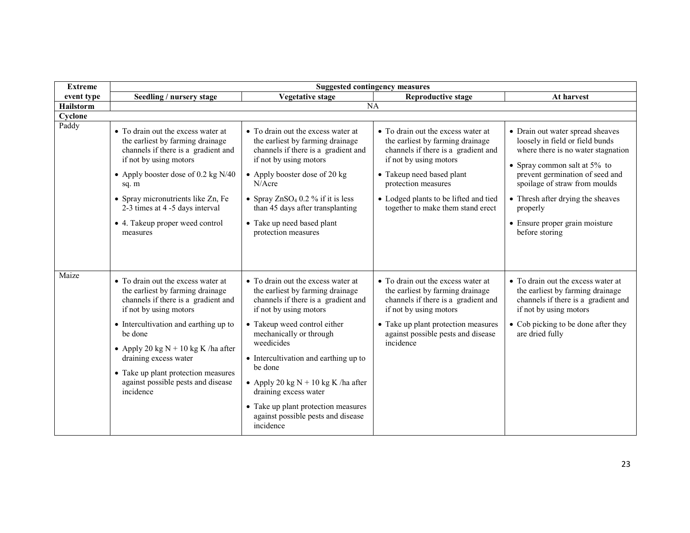| <b>Extreme</b>   | <b>Suggested contingency measures</b>                                                                                                                                                                                                                                                                                                                   |                                                                                                                                                                                                                                                                                                                                                                                                                                  |                                                                                                                                                                                                                                                                           |                                                                                                                                                                                                                                                                                                                       |  |
|------------------|---------------------------------------------------------------------------------------------------------------------------------------------------------------------------------------------------------------------------------------------------------------------------------------------------------------------------------------------------------|----------------------------------------------------------------------------------------------------------------------------------------------------------------------------------------------------------------------------------------------------------------------------------------------------------------------------------------------------------------------------------------------------------------------------------|---------------------------------------------------------------------------------------------------------------------------------------------------------------------------------------------------------------------------------------------------------------------------|-----------------------------------------------------------------------------------------------------------------------------------------------------------------------------------------------------------------------------------------------------------------------------------------------------------------------|--|
| event type       | Seedling / nursery stage                                                                                                                                                                                                                                                                                                                                | <b>Vegetative stage</b>                                                                                                                                                                                                                                                                                                                                                                                                          | <b>Reproductive stage</b>                                                                                                                                                                                                                                                 | At harvest                                                                                                                                                                                                                                                                                                            |  |
| <b>Hailstorm</b> |                                                                                                                                                                                                                                                                                                                                                         |                                                                                                                                                                                                                                                                                                                                                                                                                                  | NA                                                                                                                                                                                                                                                                        |                                                                                                                                                                                                                                                                                                                       |  |
| Cyclone          |                                                                                                                                                                                                                                                                                                                                                         |                                                                                                                                                                                                                                                                                                                                                                                                                                  |                                                                                                                                                                                                                                                                           |                                                                                                                                                                                                                                                                                                                       |  |
| Paddy            | • To drain out the excess water at<br>the earliest by farming drainage<br>channels if there is a gradient and<br>if not by using motors<br>• Apply booster dose of 0.2 kg N/40<br>sq. m<br>• Spray micronutrients like Zn, Fe<br>2-3 times at 4 -5 days interval<br>• 4. Takeup proper weed control<br>measures                                         | • To drain out the excess water at<br>the earliest by farming drainage<br>channels if there is a gradient and<br>if not by using motors<br>• Apply booster dose of 20 kg<br>$N/A$ cre<br>• Spray $ZnSO_4$ 0.2 % if it is less<br>than 45 days after transplanting<br>• Take up need based plant<br>protection measures                                                                                                           | • To drain out the excess water at<br>the earliest by farming drainage<br>channels if there is a gradient and<br>if not by using motors<br>• Takeup need based plant<br>protection measures<br>• Lodged plants to be lifted and tied<br>together to make them stand erect | • Drain out water spread sheaves<br>loosely in field or field bunds<br>where there is no water stagnation<br>• Spray common salt at $5\%$ to<br>prevent germination of seed and<br>spoilage of straw from moulds<br>• Thresh after drying the sheaves<br>properly<br>• Ensure proper grain moisture<br>before storing |  |
| Maize            | • To drain out the excess water at<br>the earliest by farming drainage<br>channels if there is a gradient and<br>if not by using motors<br>• Intercultivation and earthing up to<br>be done<br>• Apply 20 kg $N + 10$ kg K /ha after<br>draining excess water<br>• Take up plant protection measures<br>against possible pests and disease<br>incidence | • To drain out the excess water at<br>the earliest by farming drainage<br>channels if there is a gradient and<br>if not by using motors<br>• Takeup weed control either<br>mechanically or through<br>weedicides<br>• Intercultivation and earthing up to<br>be done<br>• Apply 20 kg $N + 10$ kg K /ha after<br>draining excess water<br>• Take up plant protection measures<br>against possible pests and disease<br>incidence | • To drain out the excess water at<br>the earliest by farming drainage<br>channels if there is a gradient and<br>if not by using motors<br>• Take up plant protection measures<br>against possible pests and disease<br>incidence                                         | • To drain out the excess water at<br>the earliest by farming drainage<br>channels if there is a gradient and<br>if not by using motors<br>• Cob picking to be done after they<br>are dried fully                                                                                                                     |  |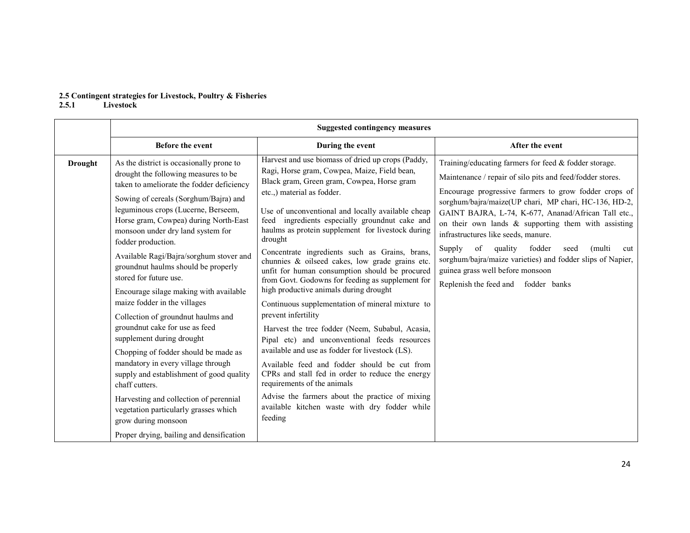# 2.5 Contingent strategies for Livestock, Poultry & Fisheries 2.5.1 Livestock

|                | <b>Suggested contingency measures</b>                                                                                                                                                                                                                                                                                                                                                                                                                                                                                                                                                                                                                                                                                                                                                                                                                                                                          |                                                                                                                                                                                                                                                                                                                                                                                                                                                                                                                                                                                                                                                                                                                                                                                                                                                                                                                                                                                                                                                                                               |                                                                                                                                                                                                                                                                                                                                                                                                                                                                                                                                                                                                       |  |  |
|----------------|----------------------------------------------------------------------------------------------------------------------------------------------------------------------------------------------------------------------------------------------------------------------------------------------------------------------------------------------------------------------------------------------------------------------------------------------------------------------------------------------------------------------------------------------------------------------------------------------------------------------------------------------------------------------------------------------------------------------------------------------------------------------------------------------------------------------------------------------------------------------------------------------------------------|-----------------------------------------------------------------------------------------------------------------------------------------------------------------------------------------------------------------------------------------------------------------------------------------------------------------------------------------------------------------------------------------------------------------------------------------------------------------------------------------------------------------------------------------------------------------------------------------------------------------------------------------------------------------------------------------------------------------------------------------------------------------------------------------------------------------------------------------------------------------------------------------------------------------------------------------------------------------------------------------------------------------------------------------------------------------------------------------------|-------------------------------------------------------------------------------------------------------------------------------------------------------------------------------------------------------------------------------------------------------------------------------------------------------------------------------------------------------------------------------------------------------------------------------------------------------------------------------------------------------------------------------------------------------------------------------------------------------|--|--|
|                | <b>Before the event</b>                                                                                                                                                                                                                                                                                                                                                                                                                                                                                                                                                                                                                                                                                                                                                                                                                                                                                        | During the event                                                                                                                                                                                                                                                                                                                                                                                                                                                                                                                                                                                                                                                                                                                                                                                                                                                                                                                                                                                                                                                                              | After the event                                                                                                                                                                                                                                                                                                                                                                                                                                                                                                                                                                                       |  |  |
| <b>Drought</b> | As the district is occasionally prone to<br>drought the following measures to be<br>taken to ameliorate the fodder deficiency<br>Sowing of cereals (Sorghum/Bajra) and<br>leguminous crops (Lucerne, Berseem,<br>Horse gram, Cowpea) during North-East<br>monsoon under dry land system for<br>fodder production.<br>Available Ragi/Bajra/sorghum stover and<br>groundnut haulms should be properly<br>stored for future use.<br>Encourage silage making with available<br>maize fodder in the villages<br>Collection of groundnut haulms and<br>groundnut cake for use as feed<br>supplement during drought<br>Chopping of fodder should be made as<br>mandatory in every village through<br>supply and establishment of good quality<br>chaff cutters.<br>Harvesting and collection of perennial<br>vegetation particularly grasses which<br>grow during monsoon<br>Proper drying, bailing and densification | Harvest and use biomass of dried up crops (Paddy,<br>Ragi, Horse gram, Cowpea, Maize, Field bean,<br>Black gram, Green gram, Cowpea, Horse gram<br>etc.,) material as fodder.<br>Use of unconventional and locally available cheap<br>feed ingredients especially groundnut cake and<br>haulms as protein supplement for livestock during<br>drought<br>Concentrate ingredients such as Grains, brans,<br>chunnies & oilseed cakes, low grade grains etc.<br>unfit for human consumption should be procured<br>from Govt. Godowns for feeding as supplement for<br>high productive animals during drought<br>Continuous supplementation of mineral mixture to<br>prevent infertility<br>Harvest the tree fodder (Neem, Subabul, Acasia,<br>Pipal etc) and unconventional feeds resources<br>available and use as fodder for livestock (LS).<br>Available feed and fodder should be cut from<br>CPRs and stall fed in order to reduce the energy<br>requirements of the animals<br>Advise the farmers about the practice of mixing<br>available kitchen waste with dry fodder while<br>feeding | Training/educating farmers for feed $&$ fodder storage.<br>Maintenance / repair of silo pits and feed/fodder stores.<br>Encourage progressive farmers to grow fodder crops of<br>sorghum/bajra/maize(UP chari, MP chari, HC-136, HD-2,<br>GAINT BAJRA, L-74, K-677, Ananad/African Tall etc.,<br>on their own lands $\&$ supporting them with assisting<br>infrastructures like seeds, manure.<br>Supply<br>of<br>quality<br>fodder<br>(multi<br>seed<br>cut<br>sorghum/bajra/maize varieties) and fodder slips of Napier,<br>guinea grass well before monsoon<br>Replenish the feed and fodder banks |  |  |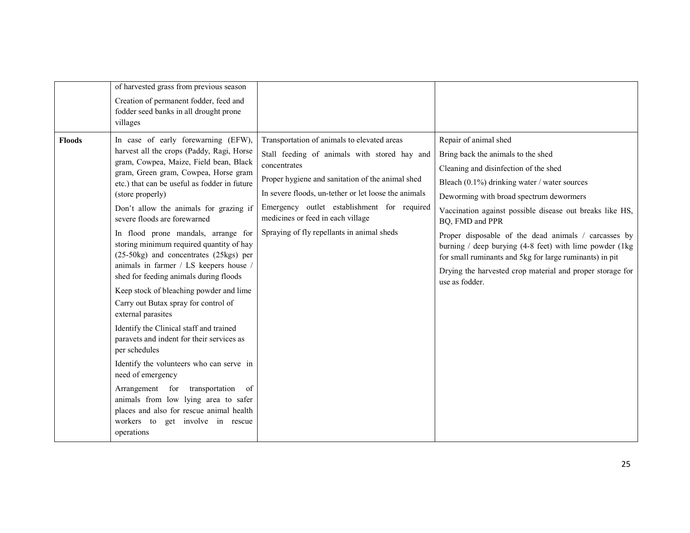|               | of harvested grass from previous season                                                                                                                                                                                                                                                                                                                                                                                                                                                                                                                                                                                                                                                                                                                                                                                                                                                                                                                                                            |                                                                                                                                                                                                                                                                                                                                                           |                                                                                                                                                                                                                                                                                                                                                                                                                                                                                                                                                |
|---------------|----------------------------------------------------------------------------------------------------------------------------------------------------------------------------------------------------------------------------------------------------------------------------------------------------------------------------------------------------------------------------------------------------------------------------------------------------------------------------------------------------------------------------------------------------------------------------------------------------------------------------------------------------------------------------------------------------------------------------------------------------------------------------------------------------------------------------------------------------------------------------------------------------------------------------------------------------------------------------------------------------|-----------------------------------------------------------------------------------------------------------------------------------------------------------------------------------------------------------------------------------------------------------------------------------------------------------------------------------------------------------|------------------------------------------------------------------------------------------------------------------------------------------------------------------------------------------------------------------------------------------------------------------------------------------------------------------------------------------------------------------------------------------------------------------------------------------------------------------------------------------------------------------------------------------------|
|               | Creation of permanent fodder, feed and<br>fodder seed banks in all drought prone<br>villages                                                                                                                                                                                                                                                                                                                                                                                                                                                                                                                                                                                                                                                                                                                                                                                                                                                                                                       |                                                                                                                                                                                                                                                                                                                                                           |                                                                                                                                                                                                                                                                                                                                                                                                                                                                                                                                                |
| <b>Floods</b> | In case of early forewarning (EFW),<br>harvest all the crops (Paddy, Ragi, Horse<br>gram, Cowpea, Maize, Field bean, Black<br>gram, Green gram, Cowpea, Horse gram<br>etc.) that can be useful as fodder in future<br>(store properly)<br>Don't allow the animals for grazing if<br>severe floods are forewarned<br>In flood prone mandals, arrange for<br>storing minimum required quantity of hay<br>(25-50kg) and concentrates (25kgs) per<br>animals in farmer / LS keepers house /<br>shed for feeding animals during floods<br>Keep stock of bleaching powder and lime<br>Carry out Butax spray for control of<br>external parasites<br>Identify the Clinical staff and trained<br>paravets and indent for their services as<br>per schedules<br>Identify the volunteers who can serve in<br>need of emergency<br>Arrangement for<br>transportation of<br>animals from low lying area to safer<br>places and also for rescue animal health<br>workers to get involve in rescue<br>operations | Transportation of animals to elevated areas<br>Stall feeding of animals with stored hay and<br>concentrates<br>Proper hygiene and sanitation of the animal shed<br>In severe floods, un-tether or let loose the animals<br>Emergency outlet establishment for required<br>medicines or feed in each village<br>Spraying of fly repellants in animal sheds | Repair of animal shed<br>Bring back the animals to the shed<br>Cleaning and disinfection of the shed<br>Bleach (0.1%) drinking water / water sources<br>Deworming with broad spectrum dewormers<br>Vaccination against possible disease out breaks like HS,<br>BQ, FMD and PPR<br>Proper disposable of the dead animals / carcasses by<br>burning $/$ deep burying (4-8 feet) with lime powder (1kg)<br>for small ruminants and 5kg for large ruminants) in pit<br>Drying the harvested crop material and proper storage for<br>use as fodder. |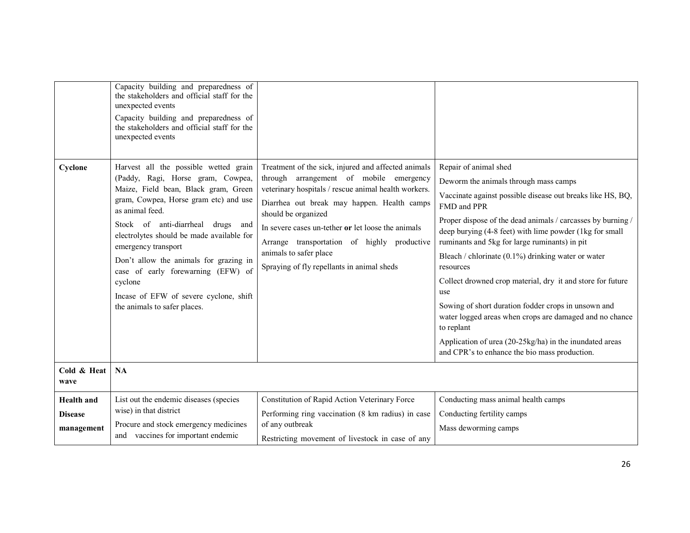| Cyclone<br>Cold & Heat                            | Capacity building and preparedness of<br>the stakeholders and official staff for the<br>unexpected events<br>Capacity building and preparedness of<br>the stakeholders and official staff for the<br>unexpected events<br>Harvest all the possible wetted grain<br>(Paddy, Ragi, Horse gram, Cowpea,<br>Maize, Field bean, Black gram, Green<br>gram, Cowpea, Horse gram etc) and use<br>as animal feed.<br>Stock of anti-diarrheal drugs and<br>electrolytes should be made available for<br>emergency transport<br>Don't allow the animals for grazing in<br>case of early forewarning (EFW) of<br>cyclone<br>Incase of EFW of severe cyclone, shift<br>the animals to safer places.<br><b>NA</b> | Treatment of the sick, injured and affected animals<br>arrangement of mobile emergency<br>through<br>veterinary hospitals / rescue animal health workers.<br>Diarrhea out break may happen. Health camps<br>should be organized<br>In severe cases un-tether or let loose the animals<br>Arrange transportation of highly productive<br>animals to safer place<br>Spraying of fly repellants in animal sheds | Repair of animal shed<br>Deworm the animals through mass camps<br>Vaccinate against possible disease out breaks like HS, BQ,<br>FMD and PPR<br>Proper dispose of the dead animals / carcasses by burning /<br>deep burying (4-8 feet) with lime powder (1kg for small<br>ruminants and 5kg for large ruminants) in pit<br>Bleach / chlorinate $(0.1\%)$ drinking water or water<br>resources<br>Collect drowned crop material, dry it and store for future<br>use<br>Sowing of short duration fodder crops in unsown and<br>water logged areas when crops are damaged and no chance<br>to replant<br>Application of urea (20-25kg/ha) in the inundated areas<br>and CPR's to enhance the bio mass production. |
|---------------------------------------------------|-----------------------------------------------------------------------------------------------------------------------------------------------------------------------------------------------------------------------------------------------------------------------------------------------------------------------------------------------------------------------------------------------------------------------------------------------------------------------------------------------------------------------------------------------------------------------------------------------------------------------------------------------------------------------------------------------------|--------------------------------------------------------------------------------------------------------------------------------------------------------------------------------------------------------------------------------------------------------------------------------------------------------------------------------------------------------------------------------------------------------------|---------------------------------------------------------------------------------------------------------------------------------------------------------------------------------------------------------------------------------------------------------------------------------------------------------------------------------------------------------------------------------------------------------------------------------------------------------------------------------------------------------------------------------------------------------------------------------------------------------------------------------------------------------------------------------------------------------------|
| wave                                              |                                                                                                                                                                                                                                                                                                                                                                                                                                                                                                                                                                                                                                                                                                     |                                                                                                                                                                                                                                                                                                                                                                                                              |                                                                                                                                                                                                                                                                                                                                                                                                                                                                                                                                                                                                                                                                                                               |
| <b>Health</b> and<br><b>Disease</b><br>management | List out the endemic diseases (species<br>wise) in that district<br>Procure and stock emergency medicines<br>and vaccines for important endemic                                                                                                                                                                                                                                                                                                                                                                                                                                                                                                                                                     | Constitution of Rapid Action Veterinary Force<br>Performing ring vaccination (8 km radius) in case<br>of any outbreak<br>Restricting movement of livestock in case of any                                                                                                                                                                                                                                    | Conducting mass animal health camps<br>Conducting fertility camps<br>Mass deworming camps                                                                                                                                                                                                                                                                                                                                                                                                                                                                                                                                                                                                                     |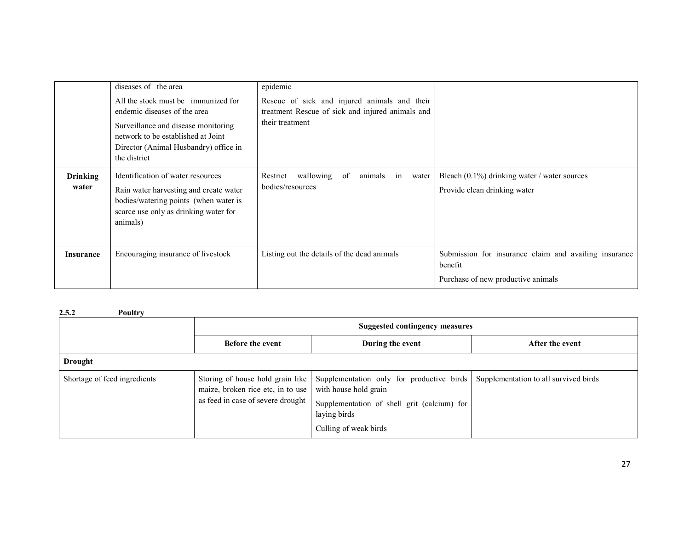|                          | diseases of the area<br>All the stock must be immunized for<br>endemic diseases of the area<br>Surveillance and disease monitoring<br>network to be established at Joint<br>Director (Animal Husbandry) office in<br>the district | epidemic<br>Rescue of sick and injured animals and their<br>treatment Rescue of sick and injured animals and<br>their treatment |                                                                                                        |
|--------------------------|-----------------------------------------------------------------------------------------------------------------------------------------------------------------------------------------------------------------------------------|---------------------------------------------------------------------------------------------------------------------------------|--------------------------------------------------------------------------------------------------------|
| <b>Drinking</b><br>water | Identification of water resources<br>Rain water harvesting and create water<br>bodies/watering points (when water is<br>scarce use only as drinking water for<br>animals)                                                         | Restrict wallowing<br>of<br>animals in<br>water<br>bodies/resources                                                             | Bleach $(0.1\%)$ drinking water / water sources<br>Provide clean drinking water                        |
| Insurance                | Encouraging insurance of livestock                                                                                                                                                                                                | Listing out the details of the dead animals                                                                                     | Submission for insurance claim and availing insurance<br>benefit<br>Purchase of new productive animals |

#### 2.5.2 Poultry

|                              | Suggested contingency measures                                                                             |                                                                                                                                                            |                                       |  |
|------------------------------|------------------------------------------------------------------------------------------------------------|------------------------------------------------------------------------------------------------------------------------------------------------------------|---------------------------------------|--|
|                              | <b>Before the event</b>                                                                                    | During the event                                                                                                                                           | After the event                       |  |
| <b>Drought</b>               |                                                                                                            |                                                                                                                                                            |                                       |  |
| Shortage of feed ingredients | Storing of house hold grain like<br>maize, broken rice etc, in to use<br>as feed in case of severe drought | Supplementation only for productive birds<br>with house hold grain<br>Supplementation of shell grit (calcium) for<br>laying birds<br>Culling of weak birds | Supplementation to all survived birds |  |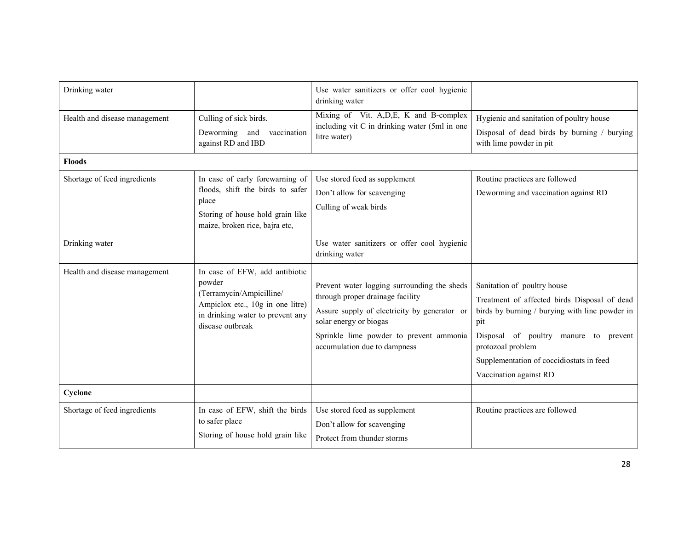| Drinking water                |                                                                                                                                                                  | Use water sanitizers or offer cool hygienic<br>drinking water                                                                                                                                                                        |                                                                                                                                                                                                                                                                          |
|-------------------------------|------------------------------------------------------------------------------------------------------------------------------------------------------------------|--------------------------------------------------------------------------------------------------------------------------------------------------------------------------------------------------------------------------------------|--------------------------------------------------------------------------------------------------------------------------------------------------------------------------------------------------------------------------------------------------------------------------|
| Health and disease management | Culling of sick birds.<br>Deworming and vaccination<br>against RD and IBD                                                                                        | Mixing of Vit. A, D, E, K and B-complex<br>including vit C in drinking water (5ml in one<br>litre water)                                                                                                                             | Hygienic and sanitation of poultry house<br>Disposal of dead birds by burning / burying<br>with lime powder in pit                                                                                                                                                       |
| <b>Floods</b>                 |                                                                                                                                                                  |                                                                                                                                                                                                                                      |                                                                                                                                                                                                                                                                          |
| Shortage of feed ingredients  | In case of early forewarning of<br>floods, shift the birds to safer<br>place<br>Storing of house hold grain like<br>maize, broken rice, bajra etc,               | Use stored feed as supplement<br>Don't allow for scavenging<br>Culling of weak birds                                                                                                                                                 | Routine practices are followed<br>Deworming and vaccination against RD                                                                                                                                                                                                   |
| Drinking water                |                                                                                                                                                                  | Use water sanitizers or offer cool hygienic<br>drinking water                                                                                                                                                                        |                                                                                                                                                                                                                                                                          |
| Health and disease management | In case of EFW, add antibiotic<br>powder<br>(Terramycin/Ampicilline/<br>Ampiclox etc., 10g in one litre)<br>in drinking water to prevent any<br>disease outbreak | Prevent water logging surrounding the sheds<br>through proper drainage facility<br>Assure supply of electricity by generator or<br>solar energy or biogas<br>Sprinkle lime powder to prevent ammonia<br>accumulation due to dampness | Sanitation of poultry house<br>Treatment of affected birds Disposal of dead<br>birds by burning / burying with line powder in<br>pit<br>Disposal of poultry manure to prevent<br>protozoal problem<br>Supplementation of coccidiostats in feed<br>Vaccination against RD |
| Cyclone                       |                                                                                                                                                                  |                                                                                                                                                                                                                                      |                                                                                                                                                                                                                                                                          |
| Shortage of feed ingredients  | In case of EFW, shift the birds<br>to safer place<br>Storing of house hold grain like                                                                            | Use stored feed as supplement<br>Don't allow for scavenging<br>Protect from thunder storms                                                                                                                                           | Routine practices are followed                                                                                                                                                                                                                                           |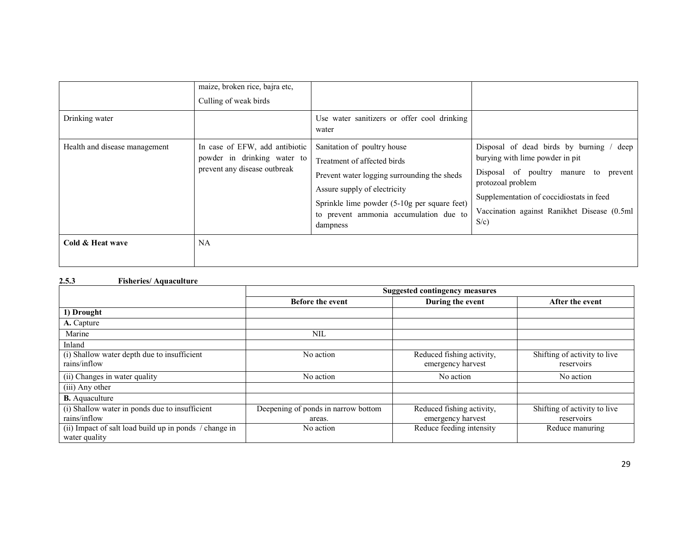| Drinking water                | maize, broken rice, bajra etc,<br>Culling of weak birds                                       | Use water sanitizers or offer cool drinking<br>water                                                                                                                                                                                            |                                                                                                                                                                                                                                                       |
|-------------------------------|-----------------------------------------------------------------------------------------------|-------------------------------------------------------------------------------------------------------------------------------------------------------------------------------------------------------------------------------------------------|-------------------------------------------------------------------------------------------------------------------------------------------------------------------------------------------------------------------------------------------------------|
| Health and disease management | In case of EFW, add antibiotic<br>powder in drinking water to<br>prevent any disease outbreak | Sanitation of poultry house<br>Treatment of affected birds<br>Prevent water logging surrounding the sheds<br>Assure supply of electricity<br>Sprinkle lime powder (5-10g per square feet)<br>to prevent ammonia accumulation due to<br>dampness | Disposal of dead birds by burning /<br>deep<br>burying with lime powder in pit<br>Disposal of poultry manure to<br>prevent<br>protozoal problem<br>Supplementation of coccidiostats in feed<br>Vaccination against Ranikhet Disease (0.5ml<br>$S/c$ ) |
| Cold & Heat wave              | <b>NA</b>                                                                                     |                                                                                                                                                                                                                                                 |                                                                                                                                                                                                                                                       |

#### 2.5.3 Fisheries/ Aquaculture

|                                                                         | <b>Suggested contingency measures</b> |                                                |                                            |  |
|-------------------------------------------------------------------------|---------------------------------------|------------------------------------------------|--------------------------------------------|--|
|                                                                         | <b>Before the event</b>               | During the event                               | After the event                            |  |
| 1) Drought                                                              |                                       |                                                |                                            |  |
| A. Capture                                                              |                                       |                                                |                                            |  |
| Marine                                                                  | NIL                                   |                                                |                                            |  |
| Inland                                                                  |                                       |                                                |                                            |  |
| (i) Shallow water depth due to insufficient<br>rains/inflow             | No action                             | Reduced fishing activity,<br>emergency harvest | Shifting of activity to live<br>reservoirs |  |
| (ii) Changes in water quality                                           | No action                             | No action                                      | No action                                  |  |
| (iii) Any other                                                         |                                       |                                                |                                            |  |
| <b>B.</b> Aquaculture                                                   |                                       |                                                |                                            |  |
| (i) Shallow water in ponds due to insufficient                          | Deepening of ponds in narrow bottom   | Reduced fishing activity,                      | Shifting of activity to live               |  |
| rains/inflow                                                            | areas.                                | emergency harvest                              | reservoirs                                 |  |
| (ii) Impact of salt load build up in ponds / change in<br>water quality | No action                             | Reduce feeding intensity                       | Reduce manuring                            |  |